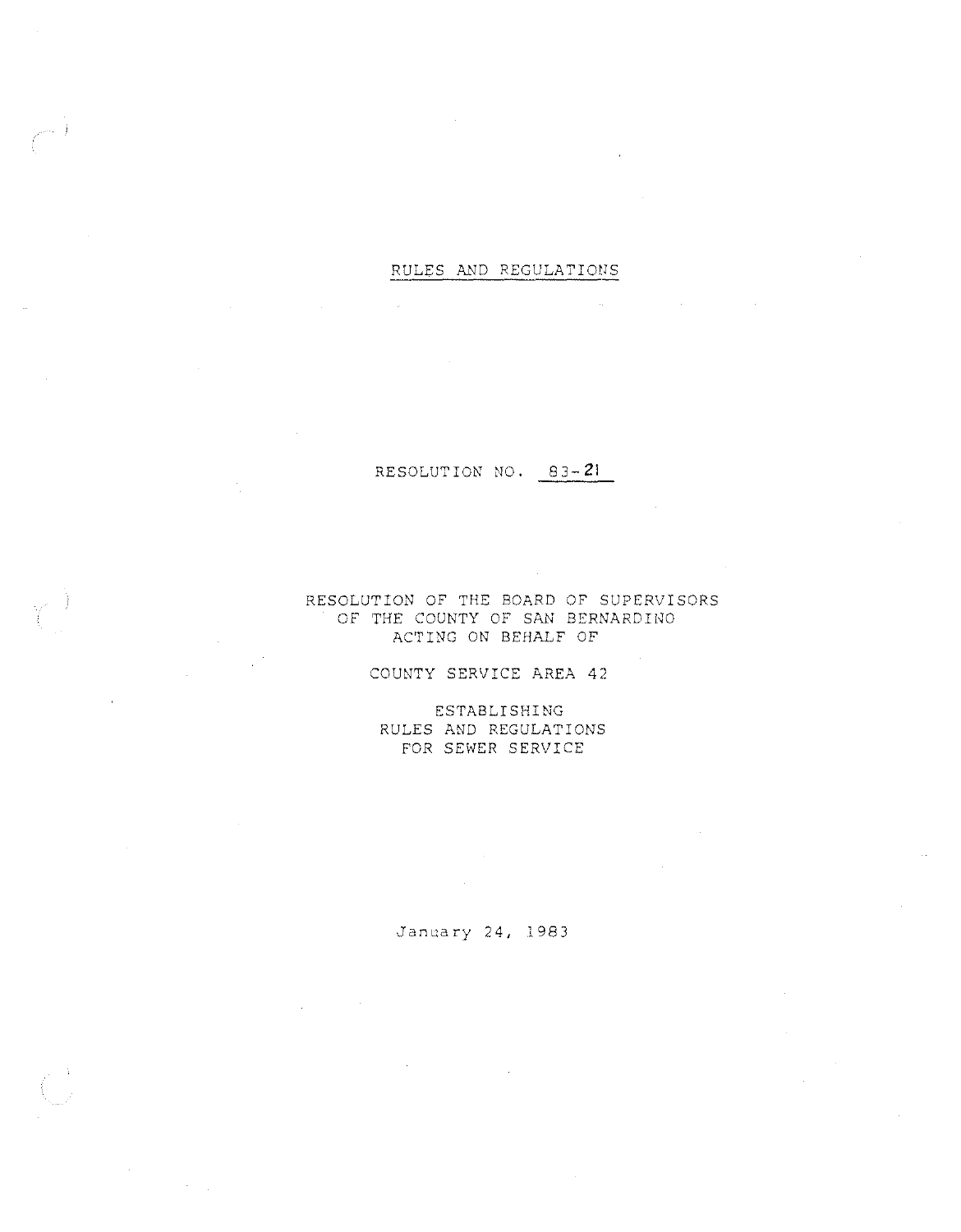### RULES AND REGULATIONS

 $\sim 10^{-1}$ 

### RESOLUTION NO. 83-21

### RESOLUTION OF THE BOARD OF SUPERVISORS OF THE COUNTY OF SAN BERNARDINO ACTING ON BEHALF OF

COUNTY SERVICE AREA 42

ESTABLISHING RULES AND REGULATIONS FOR SEWER SERVICE

January 24, 1983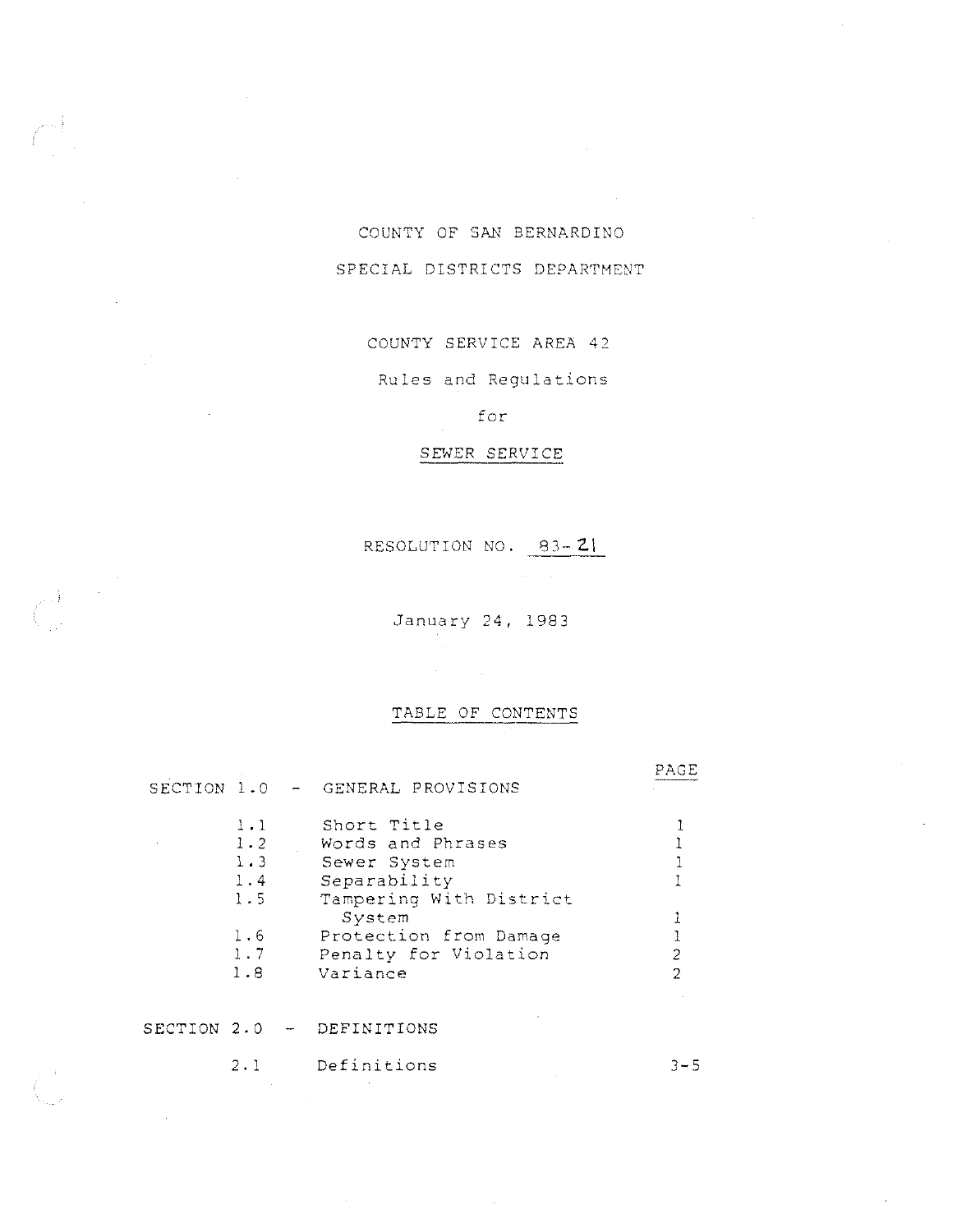# COUNTY OF SAN BERNARDINO SPECIAL DISTRICTS DEPARTMENT

### COUNTY SERVICE AREA 42

Rules and Regulations

## for

### SEWER SERVICE

RESOLUTION NO. 83-21

January 24, 1983

TABLE OF CONTENTS

 $\mathcal{A}^{\text{max}}_{\text{max}}$ 

PAGE

SECTION 1.0 GENERAL PROVISIONS

 $\label{eq:2} \frac{1}{\sqrt{2\pi}}\frac{1}{\sqrt{2\pi}}\frac{1}{\sqrt{2\pi}}\frac{1}{\sqrt{2\pi}}\frac{1}{\sqrt{2\pi}}\frac{1}{\sqrt{2\pi}}\frac{1}{\sqrt{2\pi}}\frac{1}{\sqrt{2\pi}}\frac{1}{\sqrt{2\pi}}\frac{1}{\sqrt{2\pi}}\frac{1}{\sqrt{2\pi}}\frac{1}{\sqrt{2\pi}}\frac{1}{\sqrt{2\pi}}\frac{1}{\sqrt{2\pi}}\frac{1}{\sqrt{2\pi}}\frac{1}{\sqrt{2\pi}}\frac{1}{\sqrt{2\pi}}\frac{1}{\sqrt{2$ 

 $\mathcal{L}_{\mathrm{eff}}$ 

| 1.1<br>1.2 | Short Title<br>Words and Phrases |  |
|------------|----------------------------------|--|
| $1 - 3$    | Sewer System                     |  |
| 1.4        | Separability                     |  |
| 1.5        | Tampering With District          |  |
|            | System                           |  |
| 1.6        | Protection from Damage           |  |
| 1.7        | Penalty for Violation            |  |
| 1.8        | Variance                         |  |

### SECTION 2.0 - DEFINITIONS

| 2.1 | Definitions | $3 - 5$ |
|-----|-------------|---------|
|     |             |         |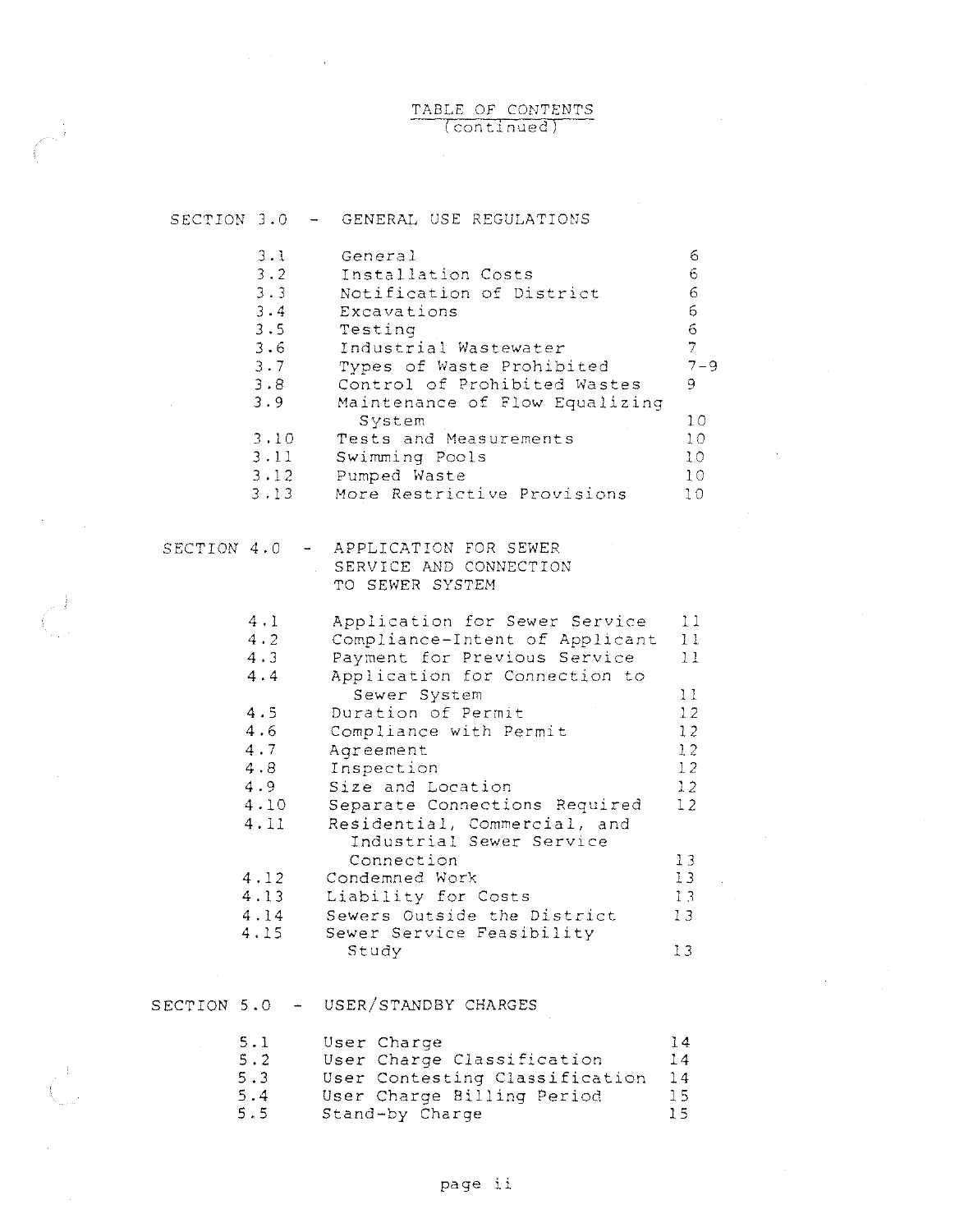### TABLE OF CONTENTS (continued)

 $\mathcal{A}^{\text{max}}$ 

 $\frac{1}{2}$  ,  $\frac{1}{2}$ 

 $\label{eq:2.1} \mathcal{L}_{\mathcal{A}} = \mathcal{L}_{\mathcal{A}} \left( \mathcal{L}_{\mathcal{A}} \right) \left( \mathcal{L}_{\mathcal{A}} \right)$ 

 $\sim$ 

| SECTION 3.0 |                                                                                                             | - GENERAL USE REGULATIONS                                                                                                                                                                                                                                                                                                                                                                                                                                                 |                                                                                        |
|-------------|-------------------------------------------------------------------------------------------------------------|---------------------------------------------------------------------------------------------------------------------------------------------------------------------------------------------------------------------------------------------------------------------------------------------------------------------------------------------------------------------------------------------------------------------------------------------------------------------------|----------------------------------------------------------------------------------------|
|             | 3.1<br>3.2<br>3.3<br>3.4<br>3.5<br>3.6<br>3.7<br>3.8<br>3.9<br>3.10<br>3.11<br>3.12<br>3.13                 | General<br>Installation Costs<br>Notification of District<br>Excavations<br>Testing<br>Industrial Wastewater<br>Types of Waste Prohibited<br>Control of Prohibited Wastes<br>Maintenance of Flow Equalizing<br>System<br>Tests and Measurements<br>Swimming Pools<br>Pumped Waste<br>More Restrictive Provisions                                                                                                                                                          | 6<br>6<br>6<br>6<br>6<br>$\overline{7}$<br>$7 - 9$<br>9<br>10<br>10<br>10<br>10<br>10  |
| SECTION 4.0 |                                                                                                             | APPLICATION FOR SEWER<br>SERVICE AND CONNECTION<br>TO SEWER SYSTEM                                                                                                                                                                                                                                                                                                                                                                                                        |                                                                                        |
|             | 4.1<br>4.2<br>4.3<br>4.4<br>4.5<br>4.6<br>4.7<br>4.8<br>4.9<br>4.10<br>4.11<br>4.12<br>4.13<br>4.14<br>4.15 | Application for Sewer Service<br>Compliance-Intent of Applicant<br>Payment for Previous Service<br>Application for Connection to<br>Sewer System<br>Duration of Permit<br>Compliance with Permit<br>Agreement<br>Inspection<br>Size and Location<br>Separate Connections Required<br>Residential, Commercial, and<br>Industrial Sewer Service<br>Connection<br>Condemned Work<br>Liability for Costs<br>Sewers Outside the District<br>Sewer Service Feasibility<br>Study | 11<br>11<br>11<br>11<br>12<br>12<br>12<br>12<br>12<br>12<br>13<br>13<br>13<br>13<br>13 |
| SECTION 5.0 |                                                                                                             | USER/STANDBY CHARGES                                                                                                                                                                                                                                                                                                                                                                                                                                                      |                                                                                        |
|             | 5.1<br>5.2<br>5.3<br>5.4<br>5.5                                                                             | User Charge<br>User Charge Classification<br>User Contesting Classification<br>User Charge Billing Period<br>Stand-by Charge                                                                                                                                                                                                                                                                                                                                              | 14<br>14<br>14<br>15<br>15                                                             |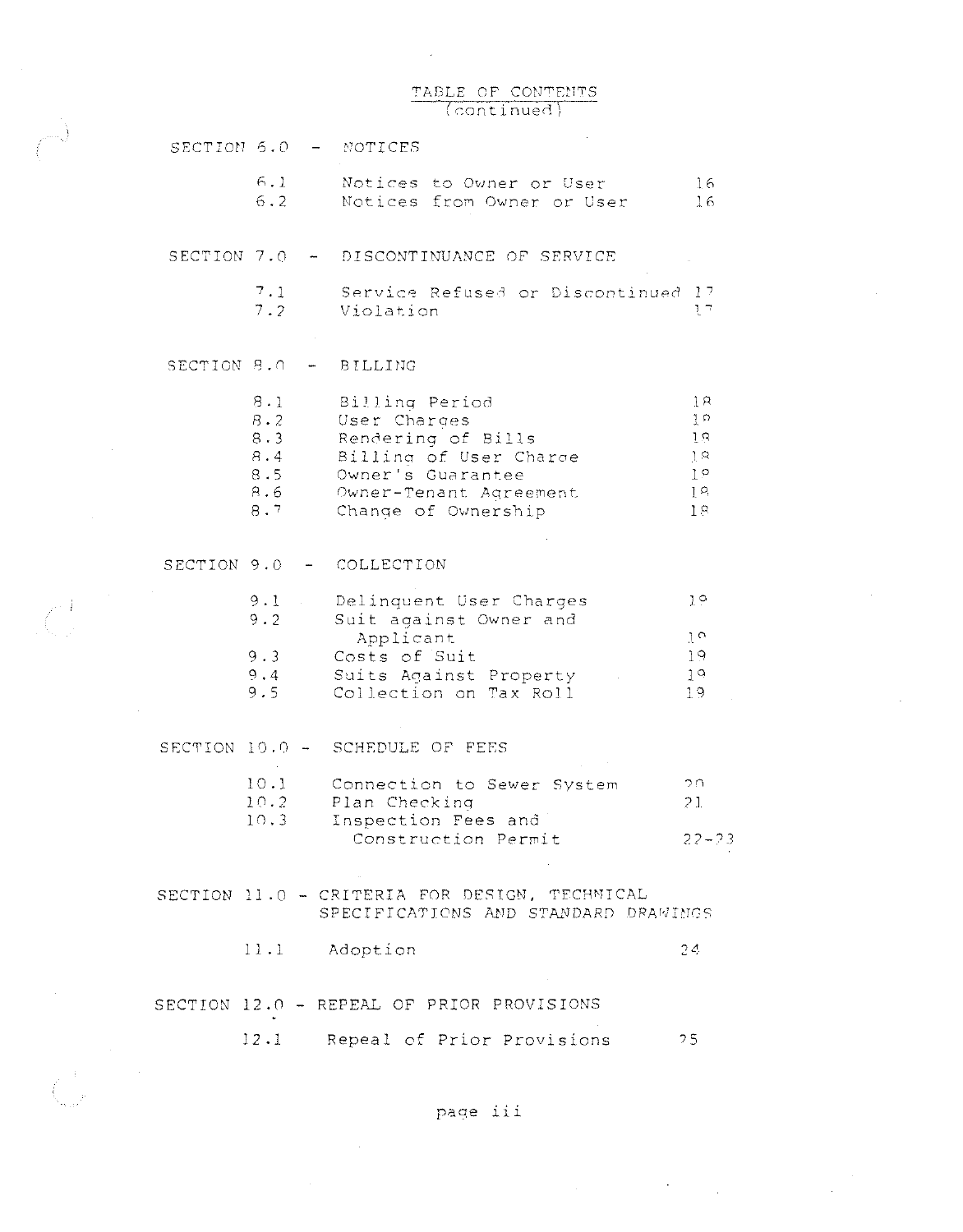### TABLE OF CONTENTS  $(continued)$

 $\mathcal{A}^{\mathcal{A}}$ 

 $\sim$ 

 $\sim$   $\sim$ 

 $\hat{\mathcal{A}}$ 

 $\label{eq:2.1} \frac{1}{2}\sum_{i=1}^n\frac{1}{2}\sum_{j=1}^n\frac{1}{2}\sum_{j=1}^n\frac{1}{2}\sum_{j=1}^n\frac{1}{2}\sum_{j=1}^n\frac{1}{2}\sum_{j=1}^n\frac{1}{2}\sum_{j=1}^n\frac{1}{2}\sum_{j=1}^n\frac{1}{2}\sum_{j=1}^n\frac{1}{2}\sum_{j=1}^n\frac{1}{2}\sum_{j=1}^n\frac{1}{2}\sum_{j=1}^n\frac{1}{2}\sum_{j=1}^n\frac{1}{2}\sum_{j=1}^n\$ 

 $\sim 10^7$ 

| SECTION 5.0 |                                               |                | - NOTICES                                                                                                                                            |                                                                               |
|-------------|-----------------------------------------------|----------------|------------------------------------------------------------------------------------------------------------------------------------------------------|-------------------------------------------------------------------------------|
|             | 6.1<br>6.2                                    |                | Notices to Owner or User<br>Notices from Owner or User                                                                                               | 16<br>16                                                                      |
|             |                                               |                | SECTION 7.0 - DISCONTINUANCE OF SERVICE                                                                                                              |                                                                               |
|             | 7.1<br>7.2                                    |                | Service Refused or Discontinued 17<br>Violation                                                                                                      | $\mathcal{U}^{\pi}$                                                           |
| SECTION 8.0 |                                               | $\blacksquare$ | BILLING                                                                                                                                              |                                                                               |
|             |                                               |                |                                                                                                                                                      |                                                                               |
|             | 8.1<br>8.2<br>8.3<br>8.4<br>8.5<br>8.6<br>8.7 |                | Billing Period<br>User Charges<br>Rendering of Bills<br>Billing of User Charge<br>Owner's Guarantee<br>Owner-Tenant Agreement<br>Change of Ownership | ļЯ<br>$\frac{1}{2}$ $\circ$<br>ŢΒ.<br>3.8<br>$1^{\circ}$<br>$1^{\circ}$<br>18 |
|             |                                               |                |                                                                                                                                                      |                                                                               |
| SECTION 9.0 |                                               |                | - COLLECTION                                                                                                                                         |                                                                               |
|             | 9.1<br>9.2                                    |                | Delinquent User Charges<br>Suit against Owner and                                                                                                    | $1^{\circ}$                                                                   |
|             | 9.3                                           |                | Applicant<br>Costs of Suit                                                                                                                           | $1^{\circ}$<br>19                                                             |
|             | 9.4<br>9.5                                    |                | Suits Against Property<br>Collection on Tax Roll                                                                                                     | 19<br>19                                                                      |
|             |                                               |                | SECTION 10.0 - SCHEDULE OF FEES                                                                                                                      |                                                                               |
|             | 10.1                                          |                | Connection to Sewer System                                                                                                                           | つれ                                                                            |
|             | 10.2                                          |                | Plan Checking                                                                                                                                        | 21                                                                            |
|             | 10.3                                          |                | Inspection Fees and<br>Construction Permit                                                                                                           | $22 - 23$                                                                     |
|             |                                               |                | SECTION 11.0 - CRITERIA FOR DESIGN, TECHNICAL<br>SPECIFICATIONS AND STANDARD DRAWINGS                                                                |                                                                               |
|             |                                               |                | 11.1 Adoption                                                                                                                                        | 24                                                                            |
|             |                                               |                | SECTION 12.0 - REPEAL OF PRIOR PROVISIONS                                                                                                            |                                                                               |
|             | 12.1                                          |                | Repeal of Prior Provisions                                                                                                                           | 25                                                                            |

 $\sim 10^6$ 

 $\Delta \sim 10^4$ 

page iii

 $\sim$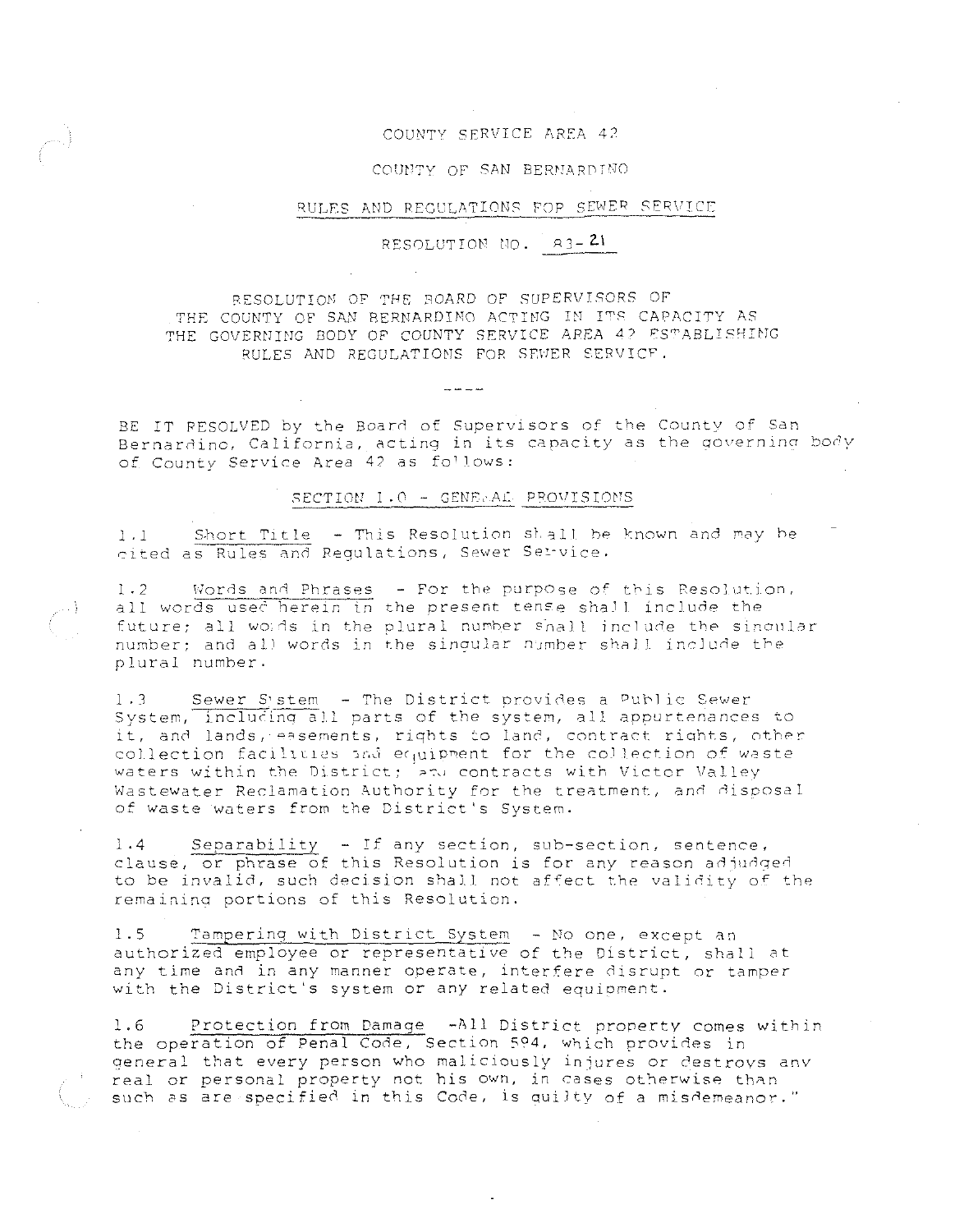#### COUNTY SERVICE AREA *4)*

#### COUNTY OF SAN BERNARDINO

#### RULES AND REGULATIONS FOP SEWER SERVICE

RESOLUTION NO.  $R3-21$ 

RESOLUTION OF THE SOARD OF SUPERVISORS OF THE COUNTY OF SAN BERNARDINO ACTING IN ITS CAPACITY AS THE GOVERNING BODY OF COUNTY SERVICE AREA 42 ESTABLISHING RULES AND REGULATIONS FOR SEWER SERVICF.

BE IT RESOLVED by the Board of Supervisors of the County of San Bernardino, California, acting in its capacity as the governing body of County Service Area 42 as follows:

#### SECTION 1.0 - GENERAL PROVISIONS

1.1 Short Title - This Resolution sL3ll be known and may be cited as Rules and Regulations, Sewer Service.

1.2 Words and Phrases - For the purpose of this Resolution, all words used herein in the present tense shall include the all words does nerther in one presence our gestime fine and one one number; and all words in the singular number shall include the plural number.

1.3 Sewer System - The District provides a Public Sewer System, including all parts of the system, all appurtenances to it, and lands, easements, rights to land, contract rights, other collection facilities and equipment for the collection of waste waters within the District; and contracts with Victor Valley Wastewater Reclamation Authority for the treatment, and disposal of *waste* waters from the District's System.

1.4 Separability - If any section, sub-section, sentence, clause, or phrase of this Resolution is for any reason adjudged to be invalid, such decision shall not affect the validity of the remaining portions of this Resolution.

1.5 Tampering with District System - No one, except an authorized employee or representative of the District, shall at any time and in any manner operate, interfere disrupt or tamper with the District's system or any related equioment.

1.6 Protection from Damage -All District property comes within the operation of Penal Code, Section 594, which provides in general that every person who maliciously injures or destroys any real or personal property not his own, in cases otherwise than such as are specified in this Code, is quilty of a misdemeanor."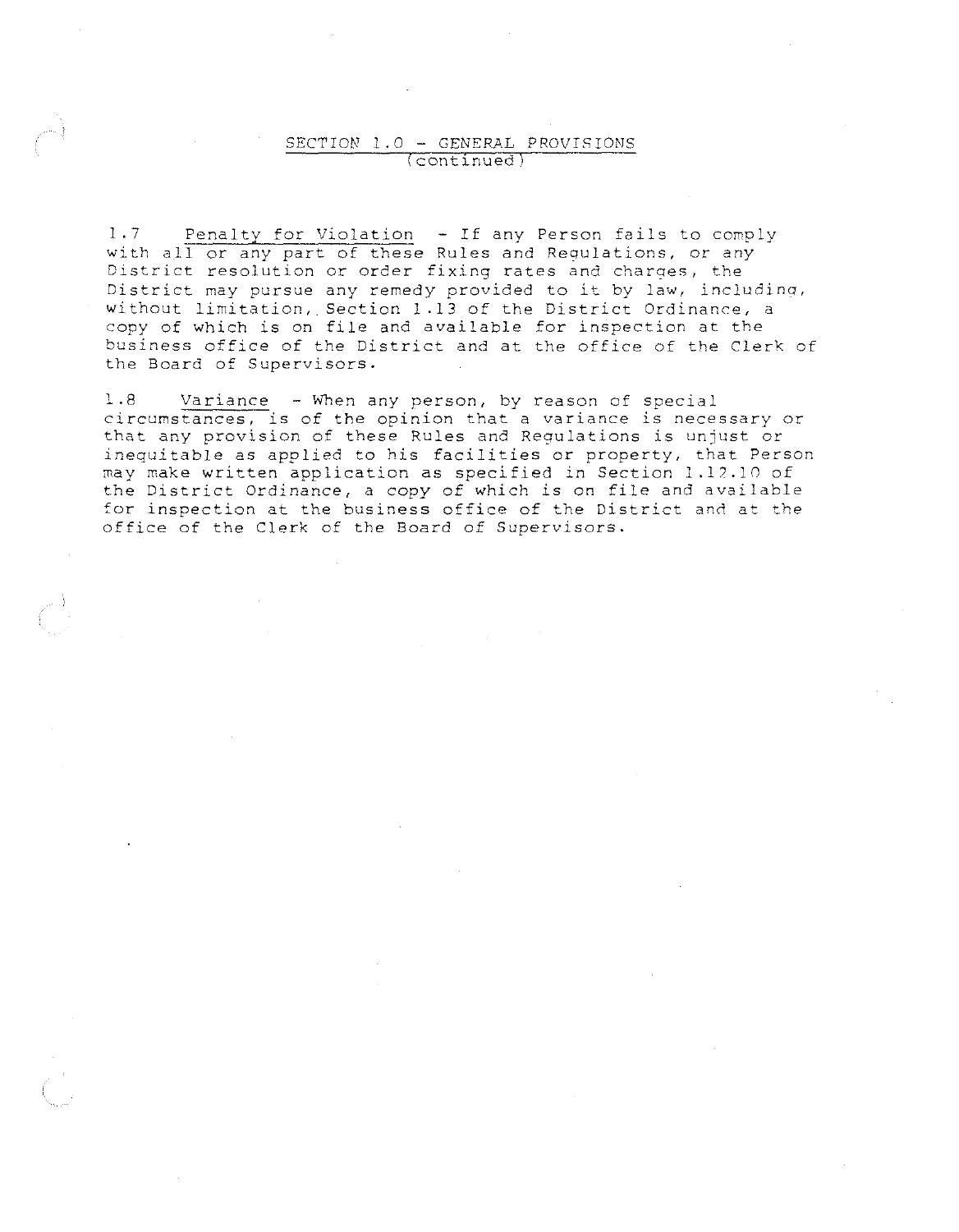### SECTION 1.0 - GENERAL PROVISIONS (continued)

1.7 Penalty for Violation - If any Person fails to comply with all or any part of these Rules and Requlations, or any District resolution or order fixing rates and charqes, the District may pursue any remedy provided to it by law, includinq, without limitation, Section l .13 of the District Ordinance, a copy of which is on file and available for inspection at the business office of the District and at the office of the Clerk of **the Board of Supervisors.** 

1.8 Variance - When any person, by reason of special **circumstances, is of the opinion that a variance is necessary or**  that any provision of these Rules and Regulations is unjust or inequitable as applied to his facilities or property, that Person may make written application as specified in Section 1.12.10 of the District Ordinance, a copy of which is on file and available for inspection at the business office of the District and at the office of the Clerk of the Board of Supervisors.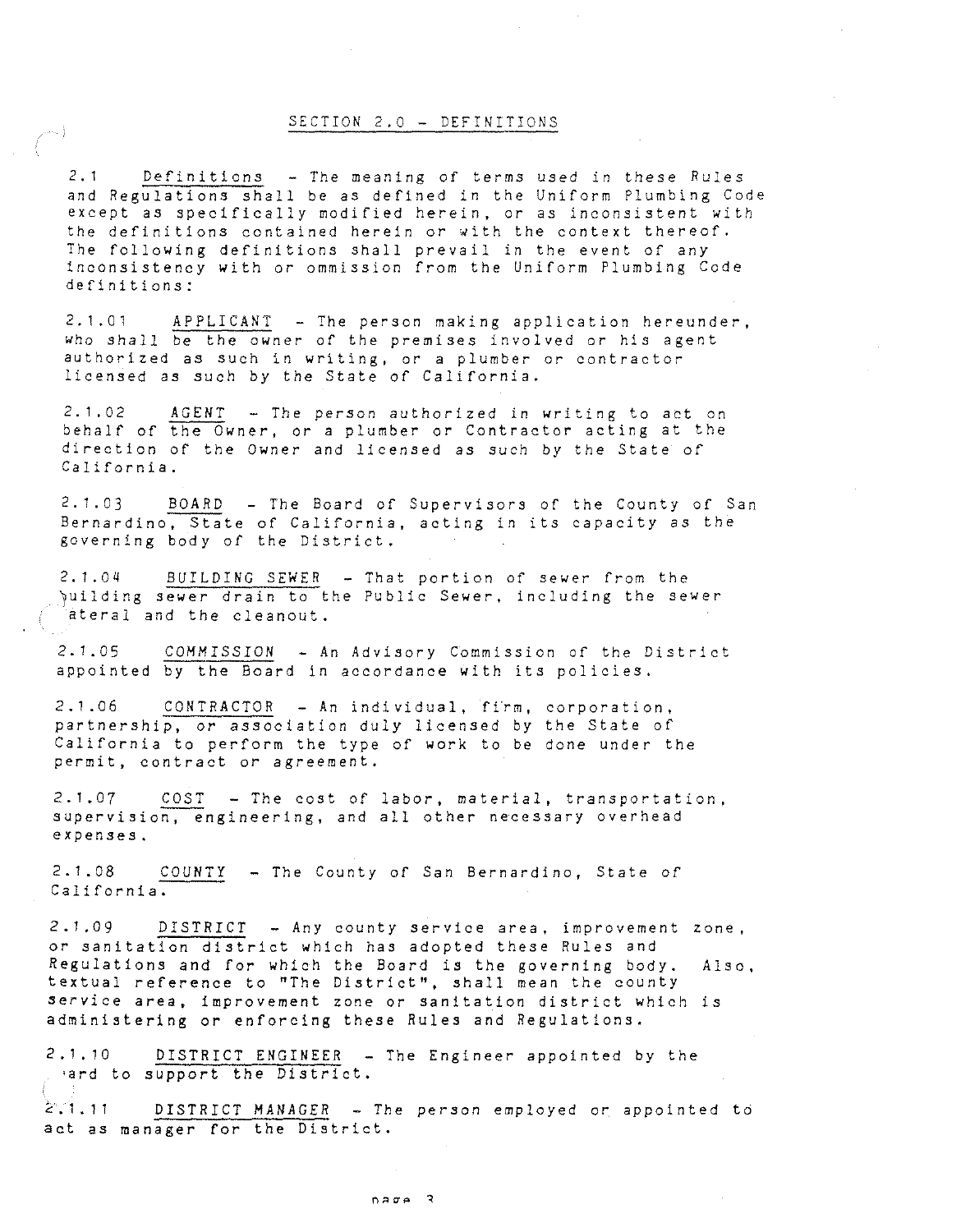#### SECTION 2.0 - DEFINITIONS

2.1 Definitions - The meaning of terms used in these Rules and Regulations shall be as defined in the Uniform Plumbing Code except as specifically modified herein, or as inconsistent with the definitions contained herein or with the context thereof. The following definitions shall prevail in the event of any inconsistency with or ommission from the Uniform Plumbing Code definitions:

2.1 .01 APPLICANT - The person making application hereunder, who shall be the owner of the premises involved or his agent **authorized as such in writing, or a plumber or contractor**  licensed as such by the State of California.

2.1.02 AGENT - The person authorized in writing to act on behalf of the Owner, or a plumber or Contractor acting at the direction of the Owner and licensed as such by the State of California.

2.1.03 BOARD - The Board of Supervisors of the County of San Bernardino, State of California, acting in its capacity as the governing body of the District.

2.1.04 BUILDING SEWER - That portion of sewer from the 7uilding sewer drain to the Public Sewer, including the sewer ateral and the cleanout.

2.1.05 *COMMISSION* - An Advisory Commission of the District appointed by the Board in accordance with its policies.

 $2.1.06$  CONTRACTOR - An individual, firm, corporation, partnership, or association duly licensed by the State of California to perform the type of work to be done under the **permit, contract or agreement.** 

2.1.07 COST - The cost of labor, material, transportation, supervision, engineering, and all other necessary overhead **expenses.** 

2.1.08 COUNTY - The County of San Bernardino, State of California.

2.1.09 DISTRICT - Any county service area, improvement zone, or sanitation district which has adopted these Rules and Regulations and for which the Board is the governing body. Also, textual reference to "The District", shall mean the county service area, improvement zone or sanitation district which is administering or enforcing these Rules and Regulations.

2.1.10 DISTRICT ENGINEER - The Engineer appointed by the •ard to support the District.

2.1.11 DISTRICT MANAGER - The person employed or appointed to act as manager for the District.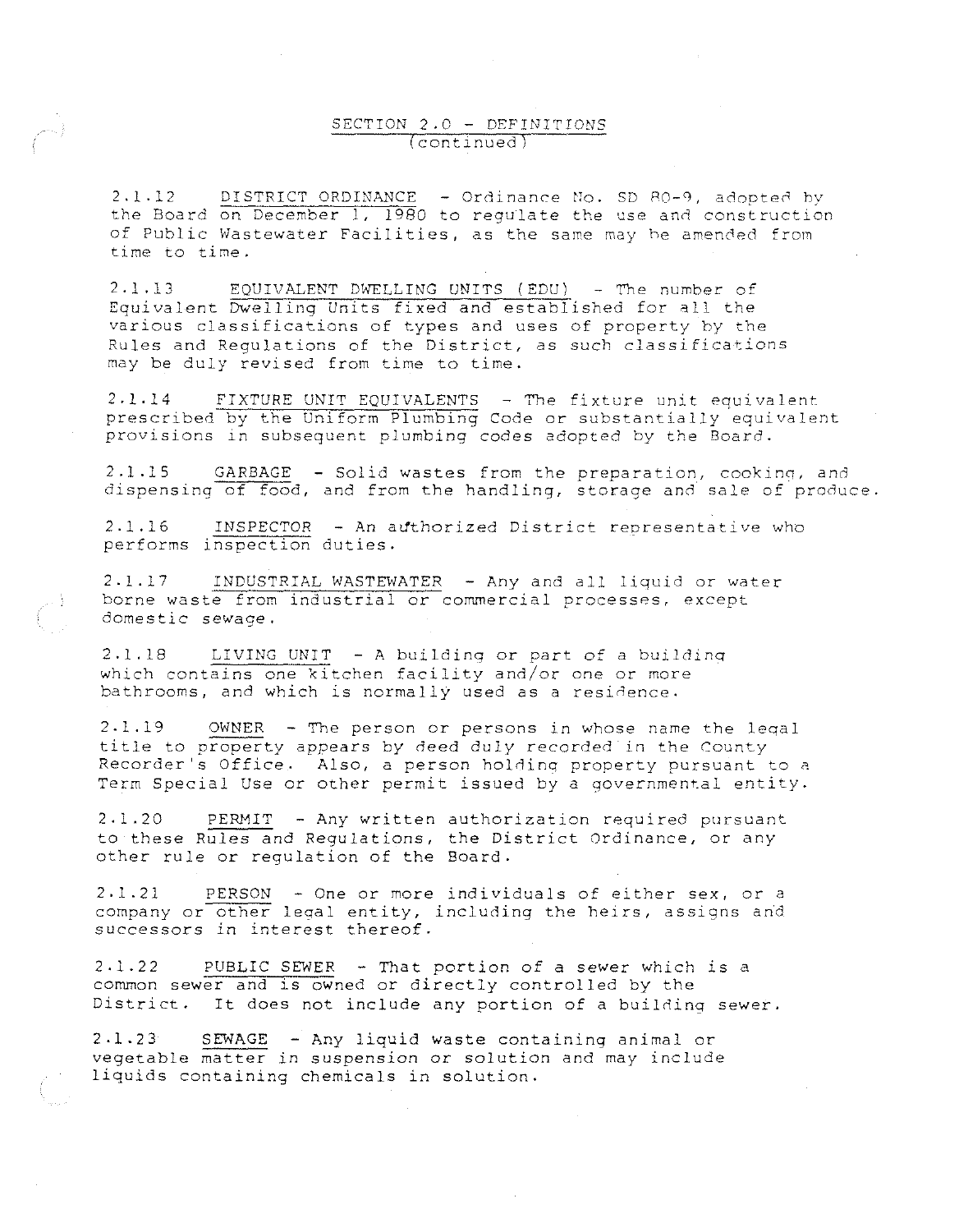### SECTION 2.0 - DEFINITIONS (continued)

2.1.12 DISTRICT ORDINANCE - Ordinance No. SD 80-9, adopted by the Board on December 1, 1980 to regulate the use and construction of Public Wastewater Facilities, as the same may be amended from time to time.

2.1.13 EQUIVALENT DWELLING UNITS (EDU) - The number of Equivalent Dwelling Units fixed and established for all the various classifications of types and uses of property by the Rules and Regulations of the District, as such classifications may be duly revised from time to time.

2,1.14 FIXTURE UNIT EQUIVALENTS - The fixture unit equivalent. prescribed by the Uniform Plumbing Code or substantially equivalent provisions in subsequent plumbing codes adopted by the Board.

2.1.15 GARBAGE - Solid wastes from the preparation, cooking, and dispensing of food, and from the handling, storage and sale of produce.

2.1.16 INSPECTOR - An authorized District representative who performs inspection duties.

2.1.17 INDUSTRIAL WASTEWATER - Any and all liquid or water borne waste from industrial or commercial processes, except domestic sewage.

2.1.18 LIVING UNIT - A building or part of a buildinq which contains one kitchen facility and/or one or more bathrooms, and which is normally used as a residence.

2-1.19 OWNER - The person or persons in whose name the leqal title to property appears by deed duly recorded in the County Recorder's Office. Also, a person holding property pursuant to a Term Special Use or other permit issued by a governmental entity.

2.1.20 PERMIT - Any written authorization required pursuant to these Rules and Regulations, the District Ordinance, or any other rule or regulation of the Board.

2,1.21 PERSON - One or more individuals of either sex, or a company or other legal entity, including the heirs, assigns and successors in interest thereof.

2.1.22 PUBLIC SEWER - That portion of a sewer which is a common sewer and is owned or directly controlled by the District. It does not include any portion of a building sewer.

2.1.23 SEWAGE - Any liquid waste containing animal or vegetable matter in suspension or solution and may include liquids containing chemicals in solution.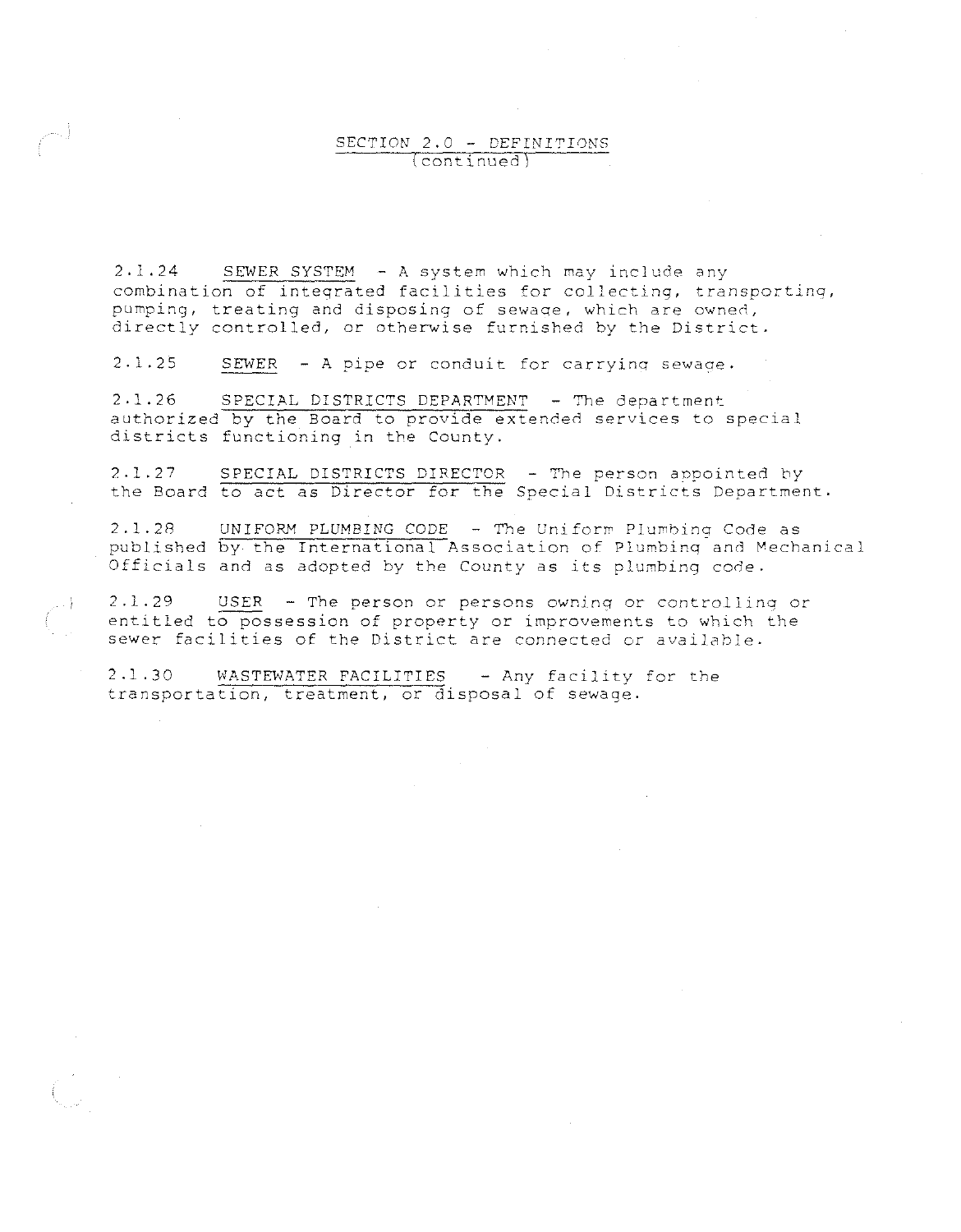### SECTION 2.0 - DEFINITIONS (continued)

2 .1. 24 SEWER SYSTEM - A system which may include any combination of integrated facilities for collecting, transportinq, pumping, treating and disposing of sewage, which are owned, directly controlled, or otherwise furnished by the District.

2.1.25 SEWER - A pipe or conduit for carryinq sewaae.

2.1.26 SPECIAL DISTRICTS DEPARTMENT - The department authorized by the Board to provide extended services to special districts functioning in the County.

2.1.27 SPECIAL DISTRICTS DIRECTOR - The person appointed by the Board to act as Director for the Special Districts Department.

2.1.28 UNIFORM PLUMBING CODE - The Uniform Plumbing Code as published by the International Association of Plumbinq and Mechanical Officials and as adopted by the County as its plumbing code.

2.1.29 USER - The person or persons owninq or controlling or entitled to possession of property or improvements to which the sewer facilities of the District are connected or available.

2.1.30 WASTEWATER FACILITIES - Any facility for the transportation, treatment, or disposal of sewage.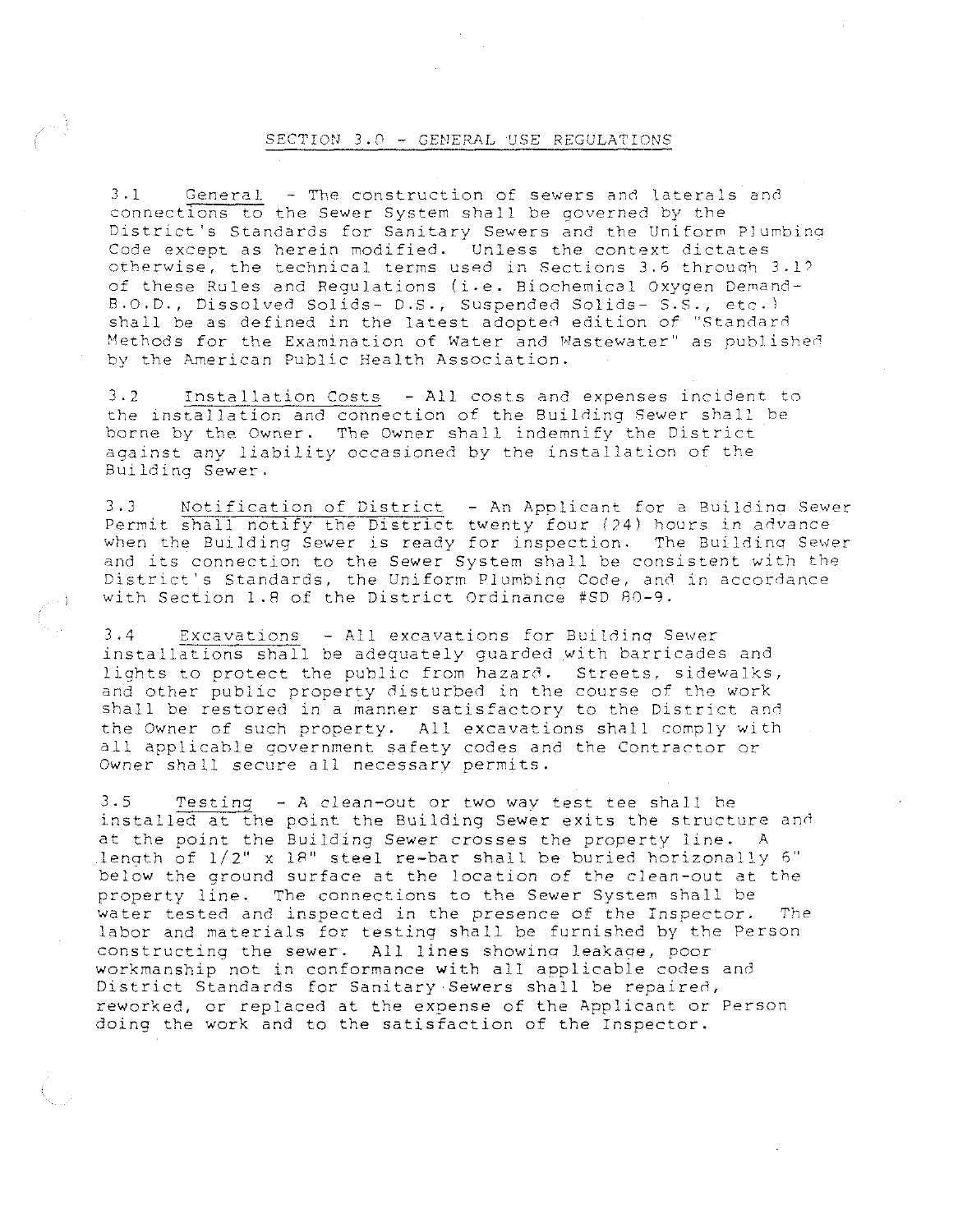#### SECTION 3.0 - GENERAL USE REGULATIONS

3.1 General - The construction of sewers and laterals and connections to the Sewer System shall be governed by the District's Standards for Sanitary Sewers and the Uniform Plumbina Code except as herein modified. Unless the context dictates otherwise, the technical terms used in Sections 3.6 through 3.1? of these Rules and Regulations (i.e. Biochemical Oxygen Demand-8.0.D., Dissolved Solids- D.S., Suspended Solids- S.S., etc. l shall be as defined in the latest adopted edition of "Standard Methods for the Examination of Water and Wastewater" as published by the American Public Health Association.

3.2 Installation Costs - All costs and expenses incident to the installation and connection of the Building Sewer shall be borne by the Owner. The Owner shall indemnify the District against any liability occasioned by the installation of the Building Sewer.

3.J Notification of District - An Applicant for a Buildina Sewer Permit shall notify the District twenty four *(24)* hours in *advance*  when the Building Sewer is ready for inspection. The Buildinq Sewer and its connection to the Sewer System shall be consistent with the District's Standards, the Uniform Plumbina Code, and in accordance with Section 1.8 of the District Ordinance #SD 80-9.

3.4 Excavations - All excavations for Building Sewer installations shall be adequately guarded with barricades and lights to protect the public from hazard. Streets, sidewalks, and other public property disturbed in the course of the work shall be restored in a manner satisfactory to the District *and*  the Owner of such property. All excavations shall comply with all applicable government safety codes and the Contractor or Owner shall secure all necessary permits.

3.5 Testing - A clean-out or two way test tee shall he installed at the point the Building Sewer exits the structure and at the point the Building Sewer crosses the property *line.* <sup>A</sup> length of  $1/2$ " x 18" steel re-bar shall be buried horizonally 6" below the ground surface at the location of the clean-out at the property line. The connections to the Sewer System shall be water tested and inspected in the presence of the Inspector. The labor and materials for testing shall be furnished by the Person constructing the sewer. All lines showina leakaae, poor workmanship not in conformance with all applicable codes and District Standards for Sanitary Sewers shall be repaired, reworked, or replaced at the expense of the Applicant or Person doing the work and to the satisfaction of the Inspector.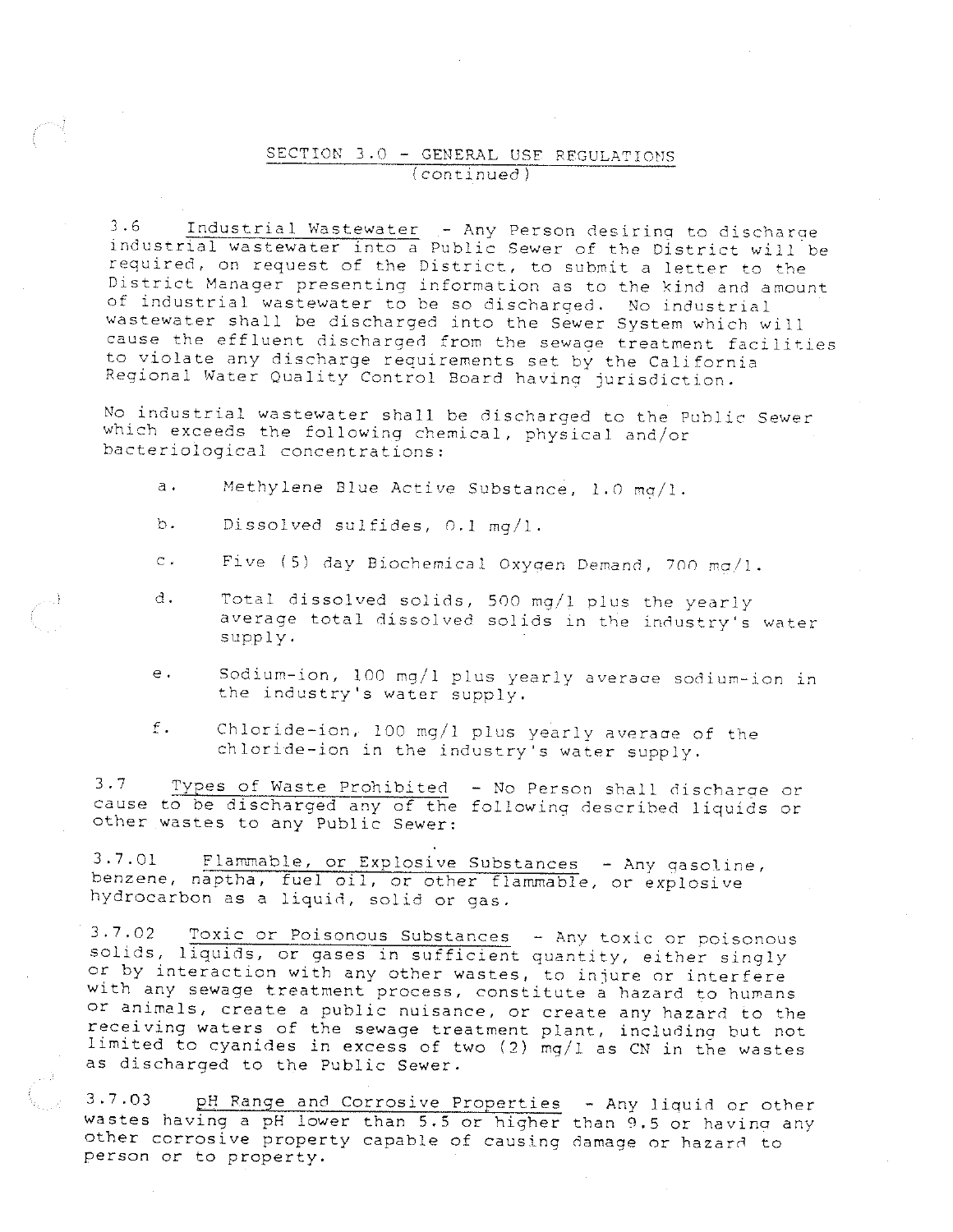### SECTION 3.0 - GENERAL USE REGULATIONS (continued)

**3.6 Industrial Wastewater - Any Person desiring to discharge**  industrial wastewater into a Public Sewer of the District will be **required, on request of the District, to submit a letter to the**  District Manager presenting information as to the kind and amount of industrial wastewater to be so discharged. No industrial wastewater shall be discharged into the Sewer System which will cause the effluent discharged from the sewage treatment facilities to violate any discharge requirements set by the California Regional Water Quality Control Board having jurisdiction.

No industrial wastewater shall be discharged to the Public Sewer which exceeds the following chemical, physical and/or bacteriological concentrations:

- a. Methylene Blue Active Substance, 1.0 mg/1.
- b. Dissolved sulfides,  $0.1 \text{ ma}/1$ .
- c. Five (5) day Biochemical Oxygen Demand, 700 mg/l.
- d. Total dissolved solids, 500 mg/1 plus the yearly average total dissolved solids in the industry's water supply.
- e. Sodium-ion, 100 mg/1 plus yearly averaae sodium-ion in the industry's water supply.
- f. Chloride-ion, 100 mg/I plus yearly averaae of the chloride-ion in the industry's water supply.

3.7 Types of Waste Prohibited - No Person shall discharge or cause to be discharged any of the following described liquids or other wastes to any Public Sewer:

3.7.01 Flammable, or Explosive Substances - Any gasoline, benzene, naptha, fuel oil, or other flammable, or explosive hydrocarbon as a liquid, solid or gas.

3.7.02 Toxic or Poisonous Substances - Anv toxic or poisonous solids, liquids, or gases in sufficient quantity, either singly or by interaction with any other wastes, to injure or interfere with any sewage treatment process, constitute a hazard to humans or animals, create a public nuisance, or create any hazard to the receiving waters of the sewage treatment plant, including but not limited to cyanides in excess of two (2) mg/1 as CN in the wastes as discharged to the Public Sewer.

3.7.03 pH Range and Corrosive Properties - Any liquid or other wastes having a pH lower than 5.5 or higher than 9.5 or havina any other corrosive property capable of causing damage or hazard to person or to property.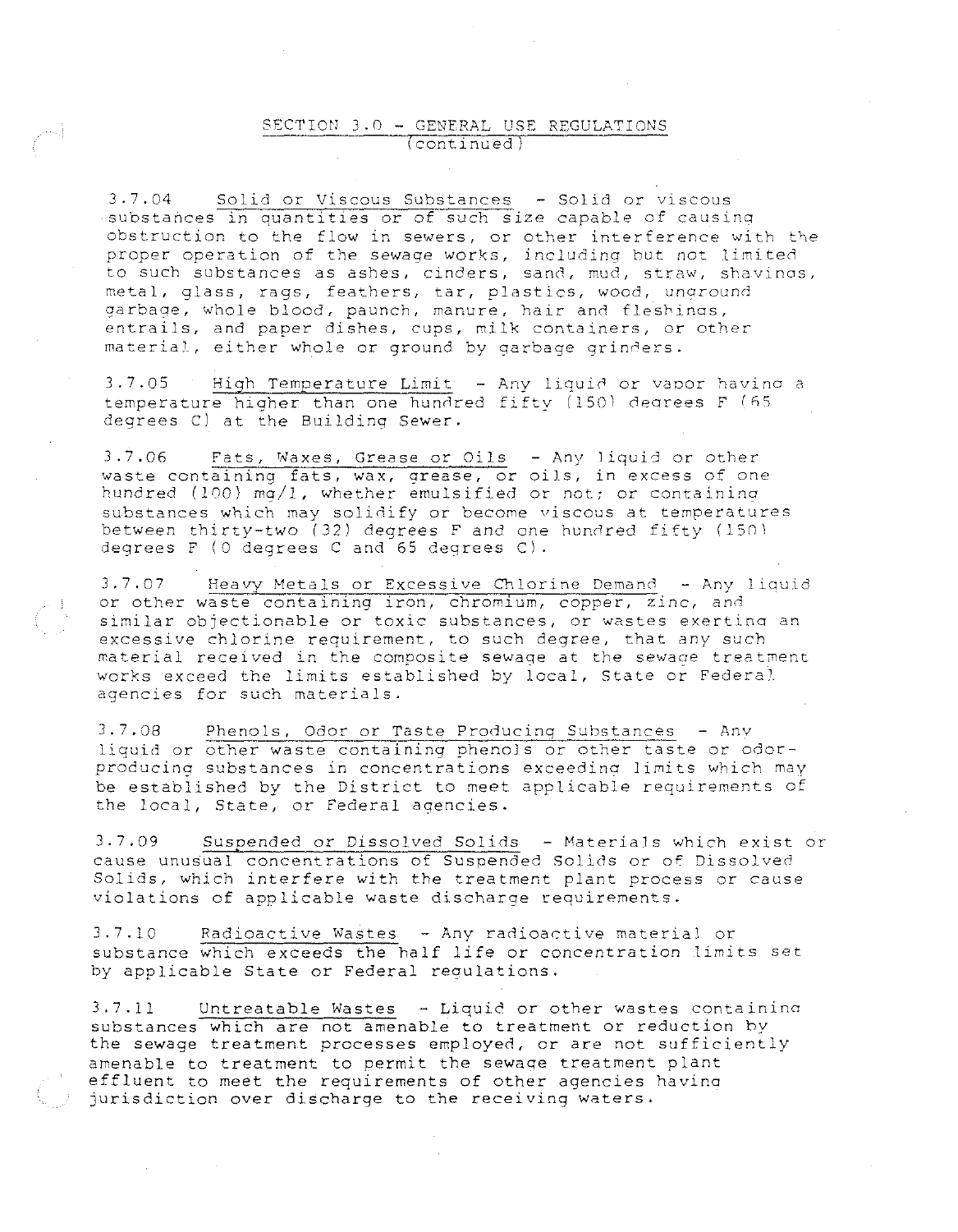#### SECTION 3.0 - GENERAL USE REGULATIONS continued

J.7.04 Solid or Viscous Substances - Solid or viscous substances in quantities or of such size capable of causing obstruction to the flow in sewers, or other interference with the proper operation of the sewage works, including but not limited to such substances as ashes, cinders, sand, mud, straw, shavings, metal, glass, rags, feathers, tar, plastics, wood, unground garbage, whole blood, paunch, manure, hair and fleshings, entrails, and paper dishes, cups, milk containers, or other material, either whole or ground by garbage grinders.

 $3.7.05$  High Temperature Limit  $-$  Any liquid or vapor having a temperature higher than one hundred fifty (150) degrees F (65 degrees C) at the Building Sewer.

3.7.06 Fats, Waxes, Grease or Oils - Any liquid or other vaste containing fats, wax, grease, or oils, in excess of one hundred (100) mg/1, whether emulsified or not; or containing substances which may solidify or become viscous at temperatures between thirty-two (32) degrees F and one hundred fifty (150) degrees F (0 degrees C and 65 degrees C).

3.7.07 Heavy Metals or Excessive Chlorine Demand - Any liquid or other waste containing iron, chromium, copper, zinc, and similar objectionable or toxic substances, or wastes exertina an excessive chlorine requirement, to such degree, that any such material received in the composite sewage at the sewage treatment works exceed the limits established by local, State or Federal agencies for such materials.

J.7.08 Phenols, Odor or Taste Producing Substances - Anv liquid or other waste containing phenols or other taste or odorproducing substances in concentrations exceeding limits which may be established by the District to meet applicable requirements of the local, State, or Federal agencies.

3.7.09 Suspended or Dissolved Solids - Materials which exist or cause unusual concentrations of Suspended Solids or of Dissolved Solids, which interfere with the treatment plant process or cause violations of applicable waste discharge requirements.

3.7.10 Radioactive Wastes - Any radioactive material or substance which exceeds the half life or concentration limits set by applicable State or Federal requlations.

3.7.11 Untreatable Wastes - Liquid or other wastes containino substances which are not amenable to treatment or reduction hy the sewage treatment processes employed, or are not sufficiently amenable to treatment to permit the sewaae treatment plant effluent to meet the requirements of other agencies havina jurisdiction over discharge to the receiving waters.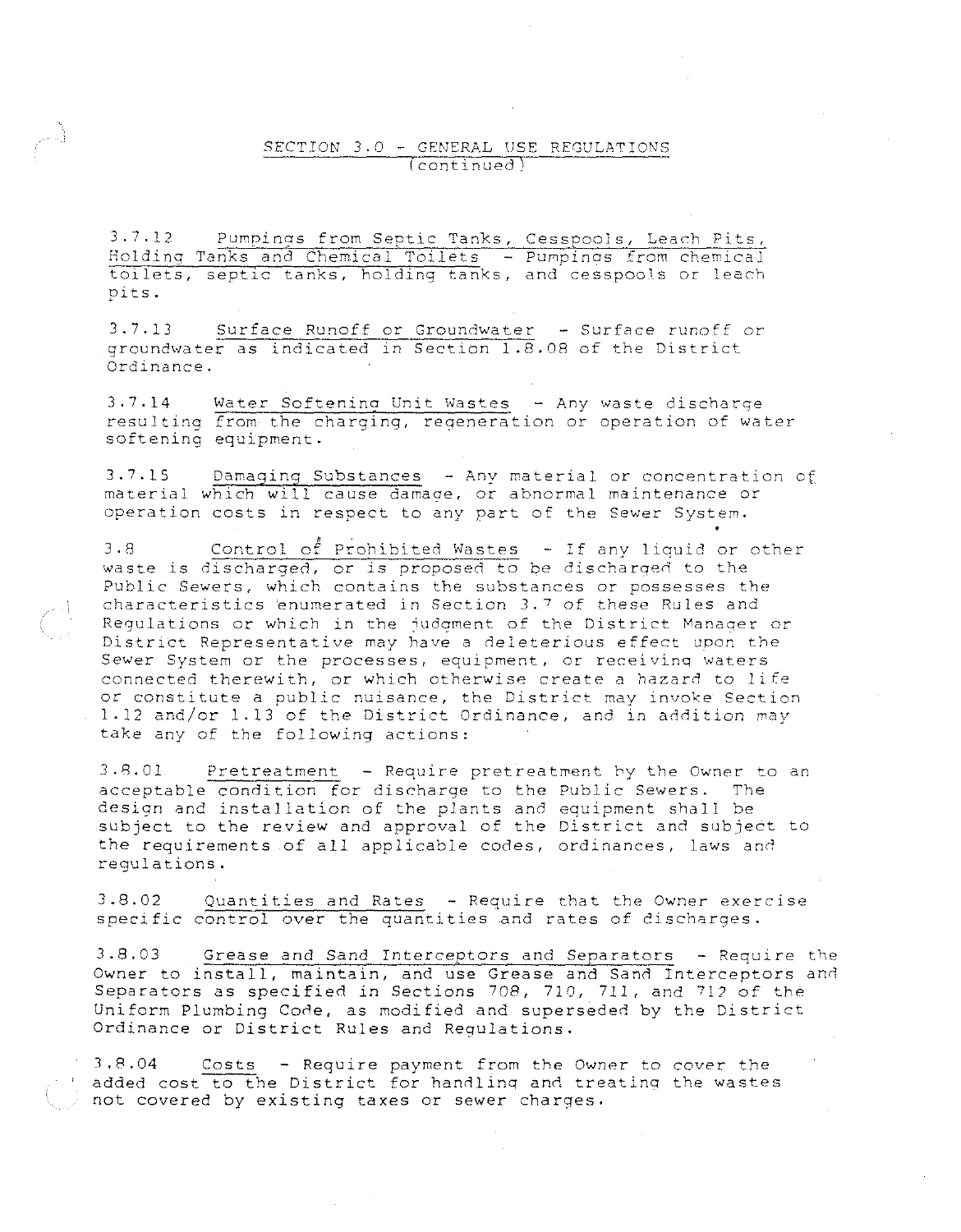#### SECTION 3.0 - GENERAL USE REGULATIONS (continued)

3.7.12 Pumpinos from Septic Tanks, Cesspools, Learh Pits, Holding Tanks and Chemical Toilets - Pumpinas from chemical toilets, septic tanks, holding tanks, and cesspools or leach pits.

3.7.13 Surface Runoff or Groundwater - Surface runoff or groundwater as indicated 1n Section 1.8.08 of the District Ordinance.

3.7.14 Water Softening Unit Wastes - Any waste discharge resulting from the charging, reqeneration or operation of water softening eguipment.

3.7.15 Damaging Substances - Any material or concentration of material which will cause damage, or abnormal maintenance or operation costs in respect to any part of the Sewer System.

3.8 Control of Prohibited Wastes - If any liquid or other waste is discharged, or is proposed to be discharged to the Public Sewers, which contains the substances or possesses the characteristics `enumerated in Section 3.7 of these Rules and Regulations or which in the judgment of the District Manager or District Representative may have a deleterious effect upon the Sewer System or the processes, equipment, or receivinq waters connected therewith, or which otherwise create a hazard to life or constitute a public nuisance, the District may invoke Section 1-12 and/or 1.13 of the District Ordinance, and in addition may take any of the following actions:

3.8.01 Pretreatment - Require pretreatment hy the Owner to an acceptable condition for discharge to the Public Sewers. The design and installation of the plants and eguipment shall be subject to the review and approval of the District and subject to the reguirements of all applicable codes, ordinances, laws and regulations.

3.8.02 Quantities and Rates - Reguire that the Owner exercise specific control *over* the guantities and rates of discharges.

3.8.03 Grease and Sand Interceptors and Separators - Reguire the Owner to install, maintain, and use Grease and Sand Interceptors and Separators as specified in Sections 708, 710, 711, and 712 of the Uniform Plumbing Code, as modified and superseded by the District Ordinance or District Rules and Regulations.

3.8.04 Costs - Reguire payment from the Owner to *cover* the added cost to the District for handling and treating the wastes not *covered* by existing taxes or sewer charges.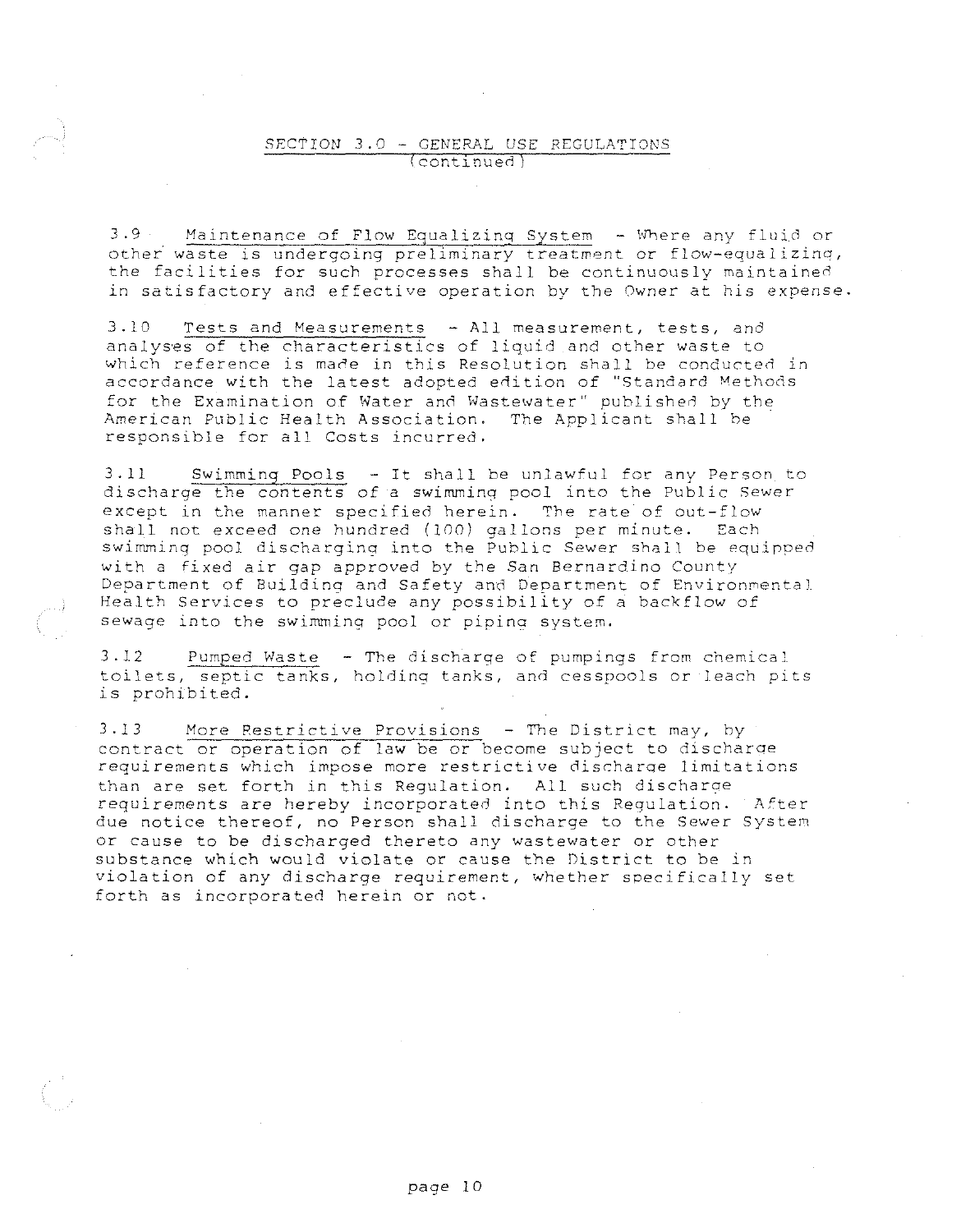### SECTION 3.0 - GENERAL USE REGULATIONS continued

3.9 Maintenance of Flow Equalizing System - Where any fluid or other waste is undergoing preliminary treatment or flow-equalizing, the facilities for such processes shall be continuously maintained in satisfactory and effective operation by the Owner at his *expense.* 

 $3.10$  Tests and Measurements  $-$  All measurement, tests, and analyses of the characteristics of liquid and other waste to which reference is made in this Resolution shall be conducted in accordance with the latest adopted edition of "Standard Methods for the Examination of Water and Wastewater" published by the American Public Health Association. The Applicant shall he responsible for all Costs incurred.

3.11 Swimming Pools - It shall be unlawful for any Person to discharge the contents of a swimming pool into the Public Sewer except in the manner specified herein. The rate of out-flow shall not exceed one hundred (100) gallons per minute. Each swimming pool discharging into the Public Sewer shall be equipped with a fixed air gap approved by the San Bernardino County Department of Building and Safety and Department of Environmental Health Services to preclude any possibility of a backflow of sewage into the swimming pool or pipina system.

3.12 Pumped Waste - The discharge of pumpings from chemical toilets, septic tanks, holding tanks, and cesspools or leach pits is prohibited.

3.13 More Restrictive Provisions - The District may, by contract or operation of law be or become subject to discharoe requirements which impose more restrictive discharge limitations than are set forth in this Regulation. All such discharae requirements are hereby incorporated into this Regulation. After due notice thereof, no Person shall discharge to the Sewer System or cause to be discharged thereto any wastewater or other substance which would violate or cause the District to be in violation of any discharge requirement, whether specifically set forth as incorporated herein or not.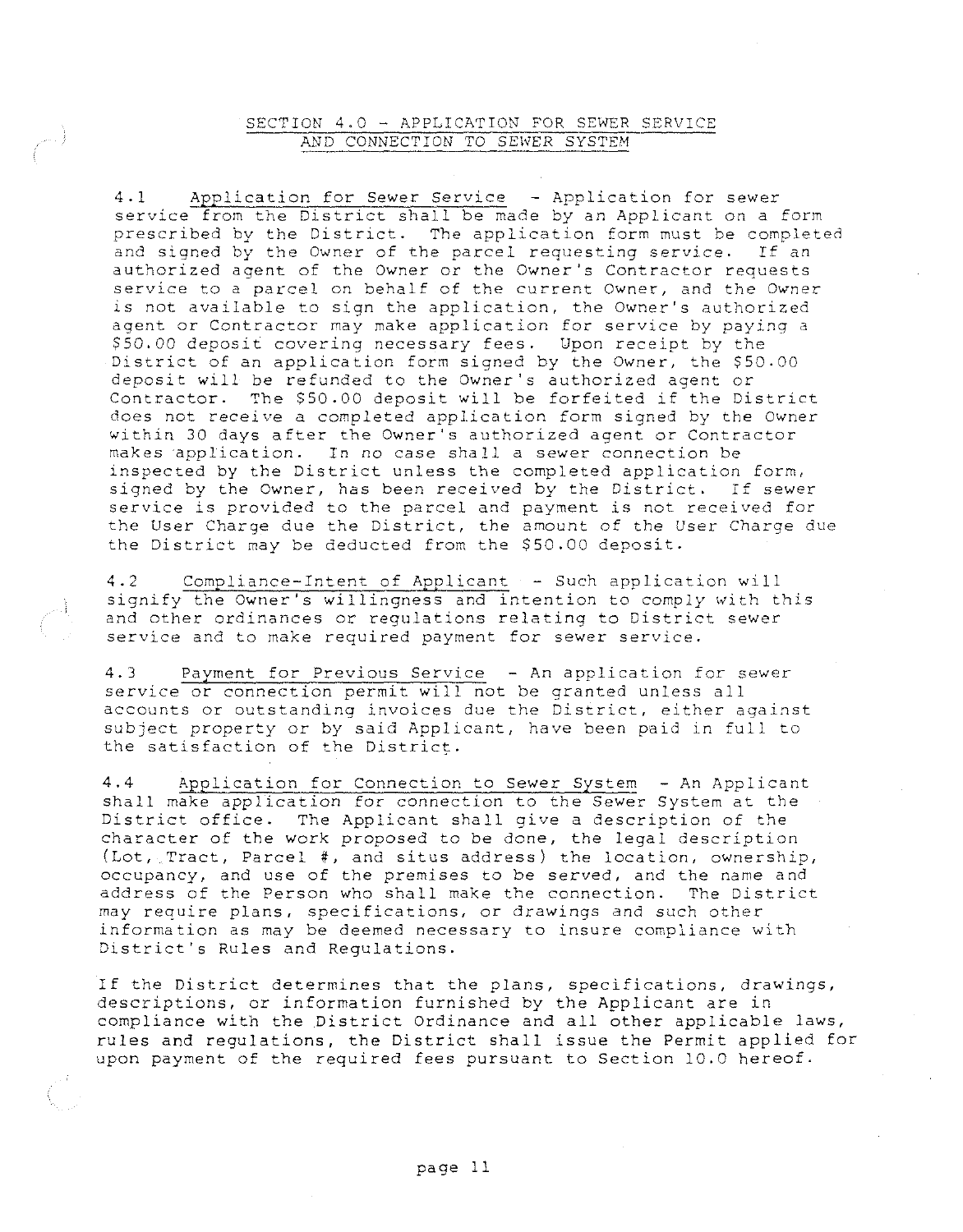### SECTION 4.0 - APPLICATION FOR SEWER SERVICE AND CONNECTION TO SEWER SYSTEM

4.1 Application for Sewer Service - Application for sewer service from the District shall be made by an Applicant on a form prescribed by the District. The application form must be completed and signed by the Owner of the parcel requesting service. If an authorized agent of the Owner or the Owner's Contractor requests service to a parcel on behalf of the current Owner, and the Owner is not available to sign the application, the Owner's authorized agent or Contractor may make application for service by paying a \$50.00 deposit covering necessary fees. Upon receipt by the District of an application form signed by the Owner, the \$50.00 deposit will be refunded to the Owner's authorized agent or Contractor. The \$50.00 deposit will be forfeited if the District does not *receive* a completed application form signed by the Owner within 30 days after the Owner's authorized agent or Contractor makes application. In no case shall a sewer connection be inspected by the District unless the completed application form, signed by the Owner, has been received by the District. If sewer service is provided to the parcel and payment is not received for the User Charge due the District, the amount of the User Charge due the District may be deducted from the \$50.00 deposit.

4.2 Compliance-Intent of Applicant - Such application will signify the Owner's willingness and intention to comply with this and other ordinances or regulations relating to District sewer **service and to make required payment for sewer** *service.* 

4.3 Pavment for Previous Service - An application for sewer service or connection permit will not be granted unless all accounts or outstanding invoices due the District, either against subject property or by said Applicant, have been paid in full to the satisfaction of the District.

4.4 Application for Connection to Sewer System - An Applicant shall make application for connection to the Sewer System at the District office. The Applicant shall give a description of the character of the work proposed to be done, the legal description (Lot, Tract, Parcel #, and situs address) the location, ownership, occupancy, and use of the premises to be served, and the name and address of the Person who shall make the connection. The District may require plans, specifications, or drawings and such other information as may be deemed necessary to insure compliance with District's Rules and Regulations.

If the District determines that the plans, specifications, drawings, descriptions, or information furnished by the Applicant are in compliance with the District Ordinance and all other applicable laws, rules and regulations, the District shall issue the Permit applied for upon payment of the required fees pursuant to Section 10.0 hereof.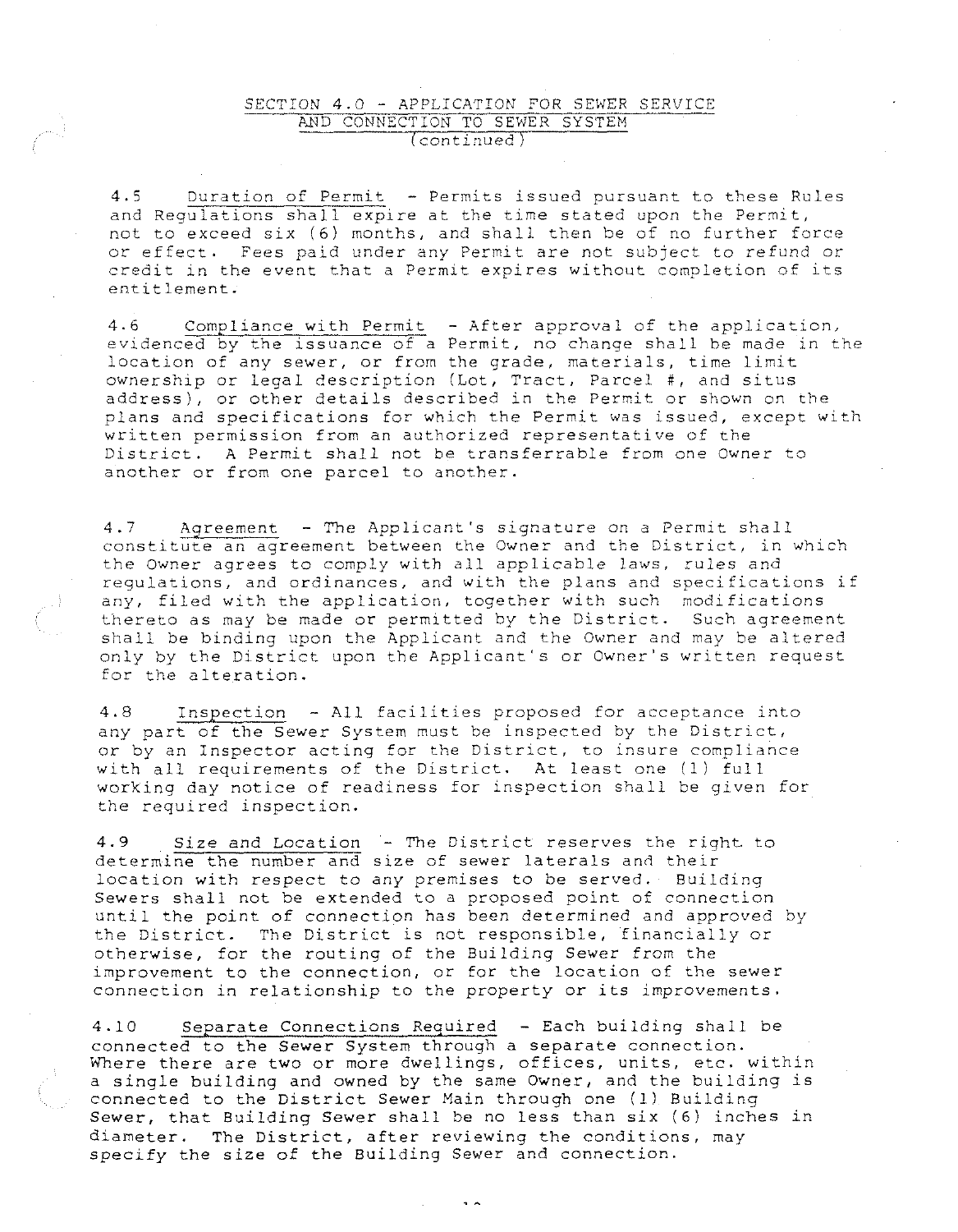#### SECTION 4.0 - APPLICATION FOR SEWER SERVICE AND CONNECTION TO SEWER SYSTEM (continued)

4.5 Duration of Permit - Permits issued pursuant to these Rules and Regulations shall expire at the time stated upon the Permit, not to exceed six (6) months, and shall then be of no further force or effect. Fees paid under any Permit are not subject to refund or credit in the event that a Permit expires without completion of its entitlement.

4.6 Compliance with Permit - After approval of the application, evidenced by the issuance of a Permit, no change shall be made in the **location of any sewer, or from the grade, materials, time limit**  ownership or legal description (Lot, Tract, Parcel #, and situs address), or other details described in the Permit or shown on the plans and specifications for which the Permit was issued, except with written permission from an authorized representative of the District. A Permit shall not be transferrable from one Owner to another or from one parcel to another.

4.7 Agreement - The Applicant's signature on a Permit shall constitute an agreement between the Owner and the District, in which the Owner agrees to comply with all applicable laws, rules and **regulations, and ordinances, and with the plans and specifications if**  any, filed with the application, together with such modifications thereto as may be made or permitted by the District. Such agreement shall be binding upon the Applicant and the Owner and may be altered only by the District upon the Applicant's or Owner's written request for the alteration.

4.8 Inspection - All facilities proposed for acceptance into any part of the Sewer System must be inspected by the District, **or by an Inspector acting for the District, to insure compliance**  with all requirements of the District. At least one (1) full working day notice of readiness for inspection shall be given for the required inspection.

4.9 Size and Location - The District reserves the right to determine the number and size of sewer laterals and their location with respect to any premises to be served. Building Sewers shall not be extended to a proposed point of connection until the point of connection has been determined and approved by the District. The District is not responsible, financially *or*  otherwise, for the routing of the Building Sewer from the **improvement to the connection,** *or* **for the location of the sewer**  connection in relationship to the property or its improvements.

4.10 Separate Connections Required - Each building shall be connected to the Sewer System through a separate connection. Where there are two or more dwellings, offices, units, etc. within a single building and owned by the same Owner, and the building is connected to the District Sewer Main through one (1) Building Sewer, that Building Sewer shall be no less than six (6) inches in diameter. The District, after reviewing the conditions, may specify the size of the Building Sewer and connection.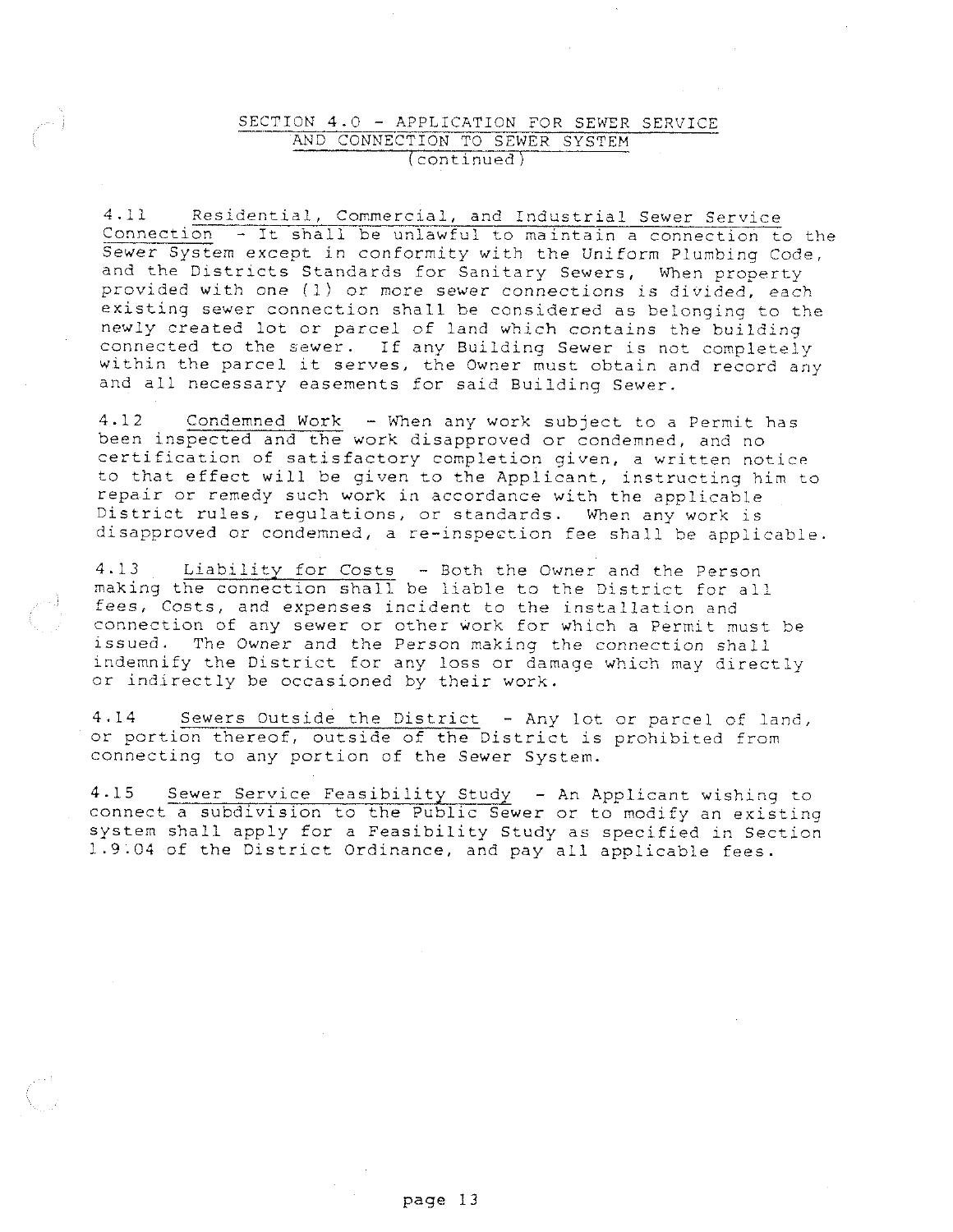### SECTION 4.0 - APPLICATION FOR SEWER SERVICE AND CONNECTION TO SEWER SYSTEM (continued)

4.11 Residential, Commercial, and Industrial Sewer Service **Connection - It shall be unlawful to maintain a connection to the**  Sewer System except in conformity with the Uniform Plumbing Code, and the Districts Standards for Sanitary Sewers, When property provided with one (1) or more sewer connections is divided, each existing sewer connection shall be considered as belonging to the newly created lot or parcel of land which contains the building connected to the sewer. If any Building Sewer is not completely within the parcel it serves, the Owner must obtain and record any and all necessary easements for said Building Sewer.

4.12 Condemned Work - When any work subject to a Permit has been inspected and the work disapproved or condemned, and no certification of satisfactory completion given, a written notice to that effect will be given to the Applicant, instructing him to repair or remedy such work in accordance with the applicable District rules, regulations, or standards. When any work is disapproved or condemned, a re-inspection fee shall be applicable,

4.13 Liability for Costs - Both the Owner and the Person making the connection shall be liable to the District for all **fees, Costs, and expenses incident to the installation and connection of any sewer or other work for which a Permit must be**  issued. The Owner and the Person making the connection shall indemnify the District for any loss or damage which may directly or indirectly be occasioned by their work.

4.14 Sewers Outside the District - Any lot or parcel of land, or portion thereof, outside of the District is prohibited from connecting to any portion of the Sewer System.

4.15 Sewer Service Feasibility Study - An Applicant wishing to connect a subdivision to the Public Sewer or to modify an existing system shall apply for a Feasibility Study as specified in Section 1.9.04 of the District Ordinance, and pay all applicable fees.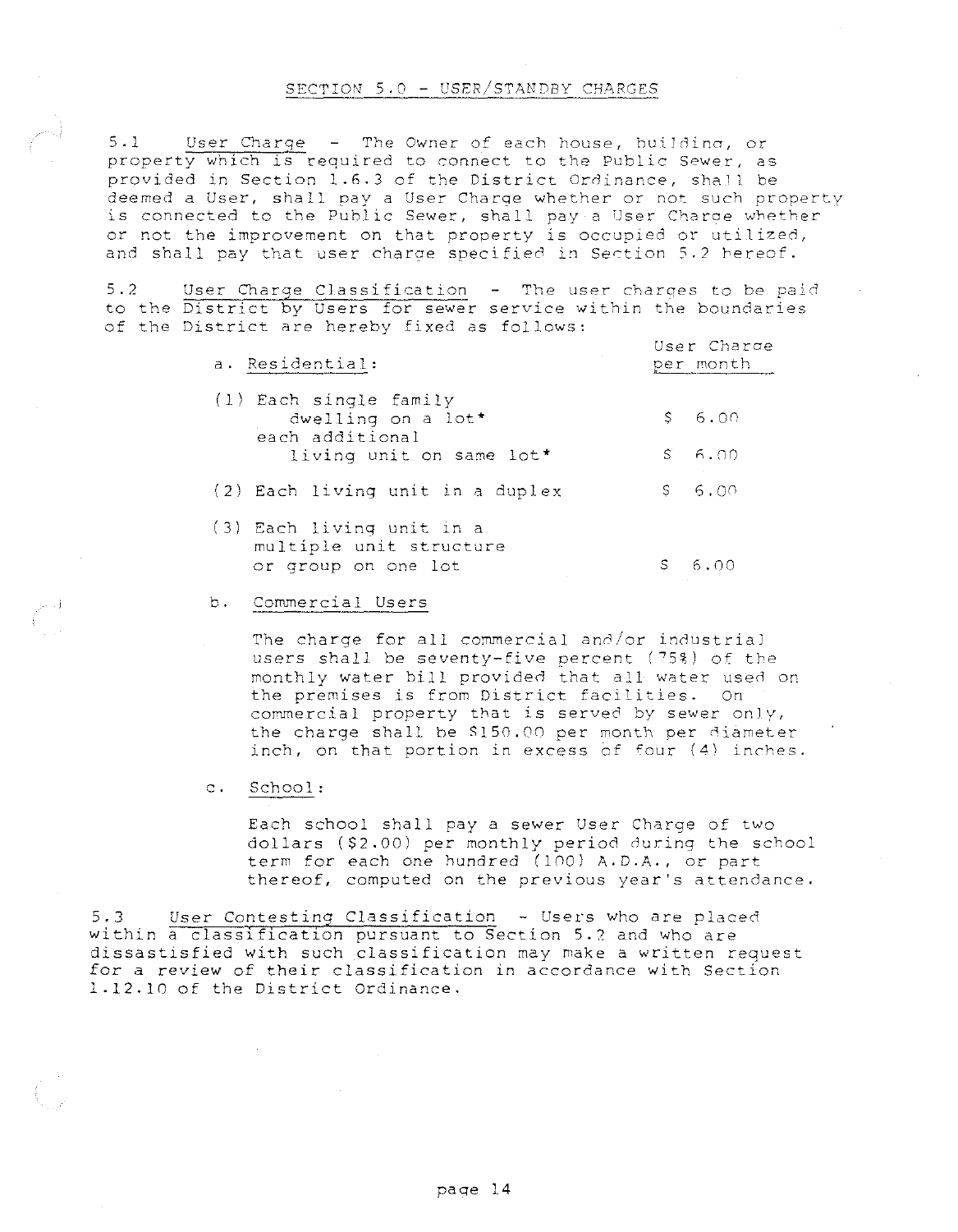#### SECTION 5.0 - USER/STANDBY CHARGES

5.1 User Charge - The Owner of each house, huilding, or property which is required to connect to the Public Sewer, as provided in Section 1.6.3 of the District Ordinance, shall be deemed a User, shall pay a User Charge whether or not such property is connected to the Public Sewer, shall pay a User Charoe whether or not the improvement on that property is occupied or utilized, and shall pay that user charge specified in Section 5.2 hereof.

5.2 User Charge Classification - The user charges to be paid to the District by Users for sewer service within the boundaries of the District are hereby fixed as follows:

| a. Residential:                                                                             |   | User Charge<br>per month |
|---------------------------------------------------------------------------------------------|---|--------------------------|
| (1) Each single family<br>dwelling on a lot*<br>each additional<br>living unit on same lot* |   | \$6.00<br>$S = 6.00$     |
| (2) Each living unit in a duplex                                                            |   | \$6.00                   |
| (3) Each living unit in a<br>multiple unit structure<br>or group on one lot                 | S | 6.00                     |

#### b. Commercial Users

The charge for all commercial and/or industrial users shall be seventy-five percent  $(75%)$  of the monthly water bill provided that all water used on the premises is from District facilities. On commercial property that is served by sewer only, the charge shall be SlS0.00 per month per diameter inch, on that portion in excess of four (4} inches.

### c. School:

Each school shall pay a sewer User Charge of two dollars (\$2.00) per monthly period during the school term for each one hundred (100) A.D.A., or part thereof, computed on the previous year's attendance.

5.J User Contesting Classification - Users who are placed within a classification pursuant to Section 5.7 and who are dissastisfied with such classification may make a written request for a review of their classification in accordance with Section 1.12.10 of the District Ordinance.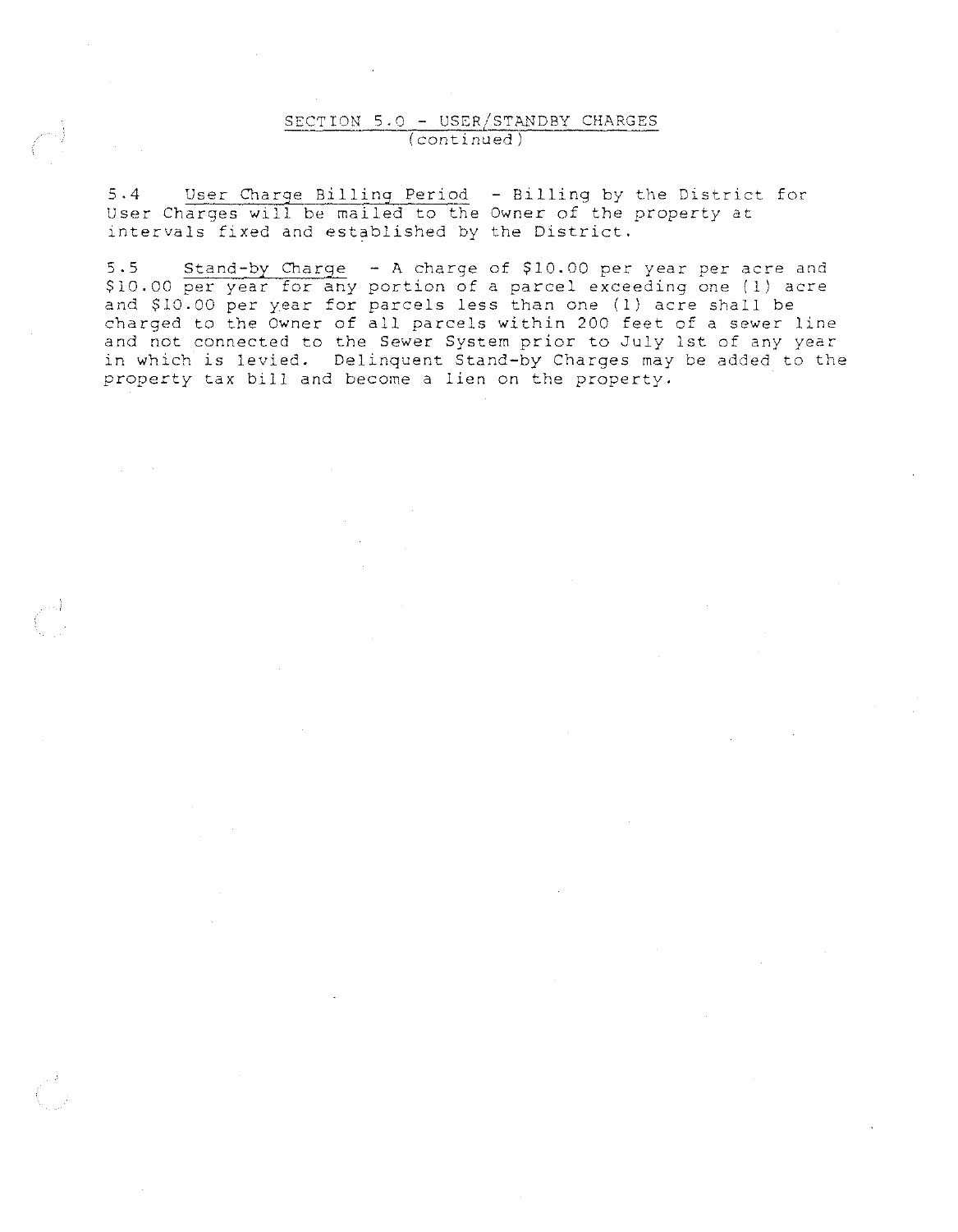### SECTION 5.0 - USER/STANDBY CHARGES (continued)

5.4 User Charge Billing Period - Billing by the District for User Charges will be mailed to the Owner of the property at intervals fixed and established by the District.

5.5 Stand-by Charge - A charge of \$10.00 per year per acre and \$10.00 per year for any portion of a parcel exceeding one (1) acre and \$10.00 per year for parcels less than one (1) acre shall be charged to the Owner of all parcels within 200 feet of a sewer line and not connected to the Sewer System prior to July 1st of any year in which is levied. Delinquent Stand-by Charges may be added to the property tax bill and become a lien on the property.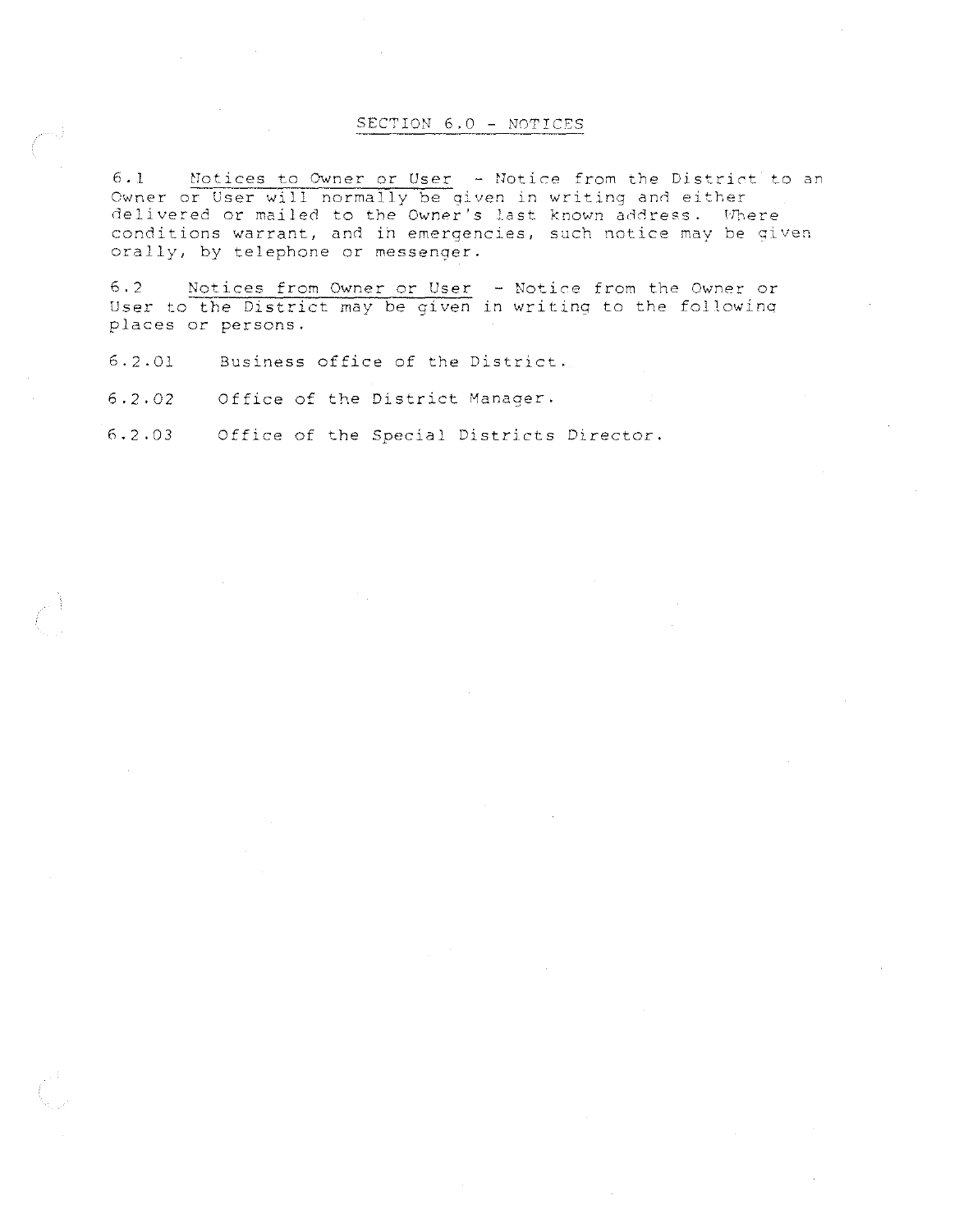#### SECTION 6.0 - NOTICES

6.1 Motices to Owner or User - Notice from the District to an Owner or User will normally be given in writing and either delivered or mailed to the Owner's last known address. Where conditions warrant, and in emergencies, such notice may be given orally, by telephone or messenger.

6.2 Notices from Owner or User - Notice from the Owner or User to the District may be given in writing to the following places or persons.

6.2.01 Business office of the District.

6.2.02 Office of the District Manager.

 $6.2.03$ Office of the Special Districts Director.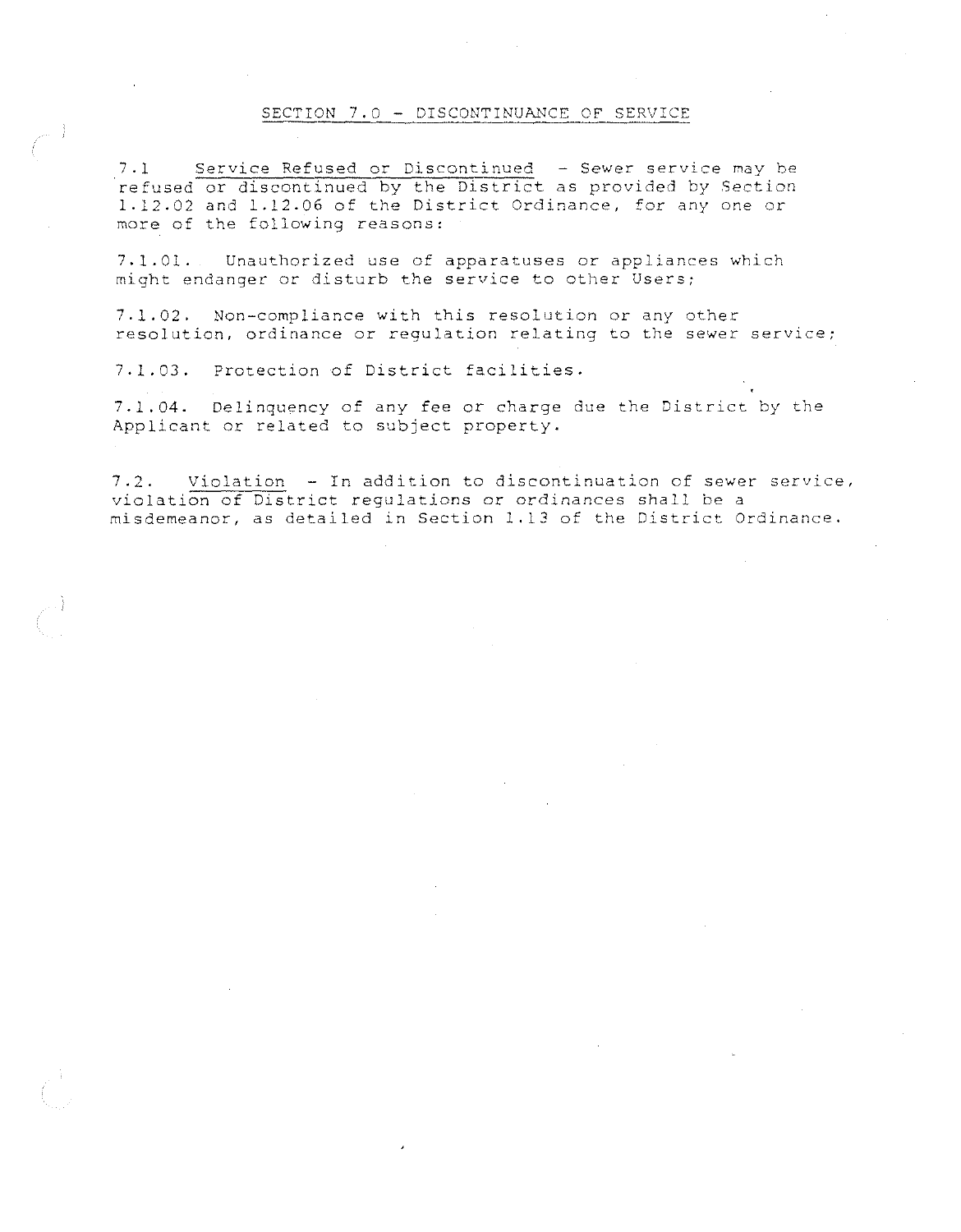#### SECTION 7.0 - DISCONTINUANCE OF SERVICE

7.1 Service Refused or Discontinued - Sewer service may be refused or discontinued by the District as provided by Section 1.12.02 and 1.12.06 of the District Ordinance, for any *one* or more of the following reasons:

7.1.01. Unauthorized use of apparatuses or appliances which might endanger or disturb the service to other Users;

7.1.02. Non-compliance with this resolution or any other **resolution, ordinance or regulation relating to the sewer service;** 

7.1.03. Protection of District facilities.

7.1.04. Delinquency of any fee or charge due the District by the Applicant or related to subject property.

7.2. Violation - In addition to discontinuation of sewer service, **violation of District regulations** *or* **ordinances shall be a**  misdemeanor, as detailed in Section 1.13 of the District Ordinance.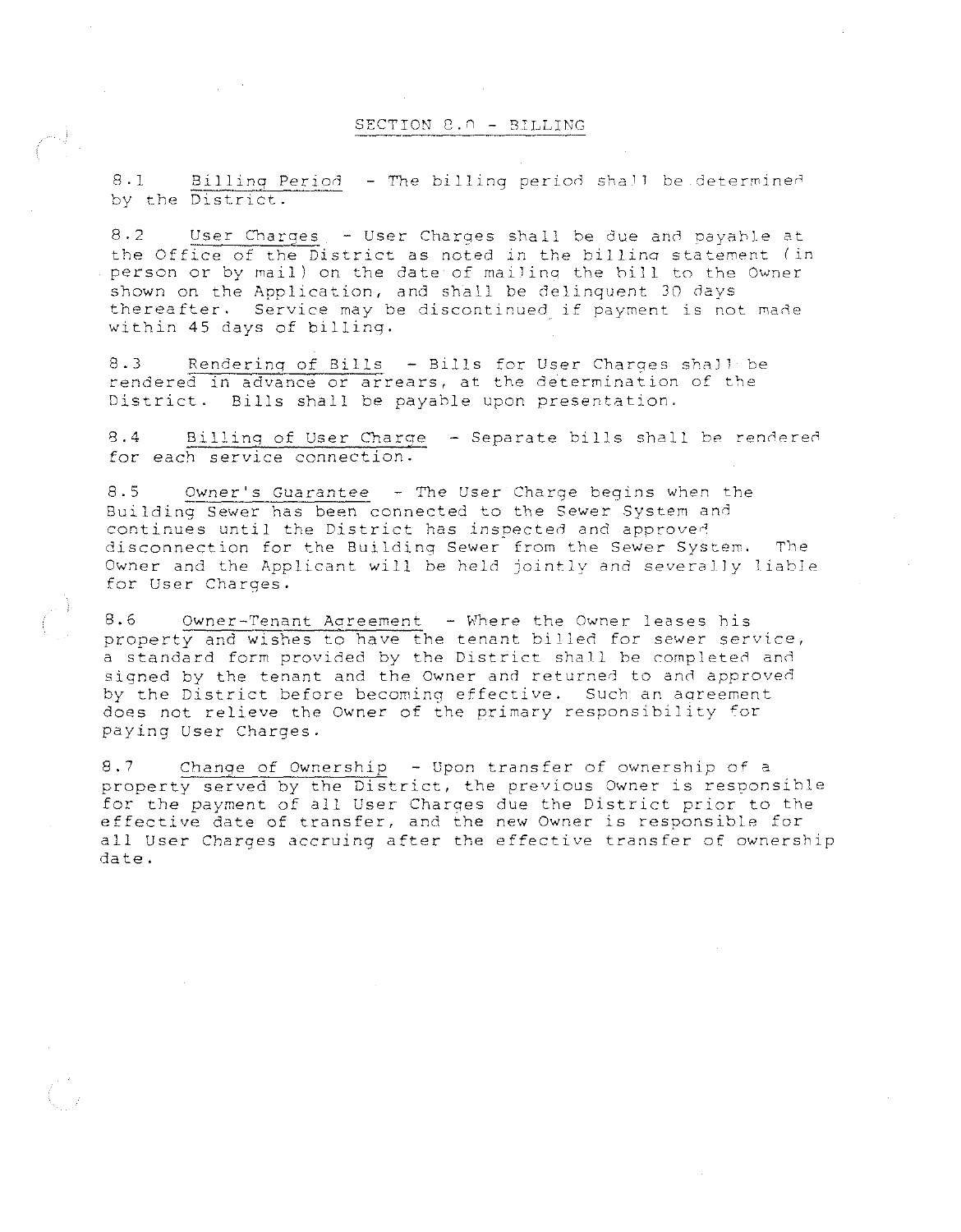#### SECTION 8.0 - BILLING

8.1 Billing Period - The billing period shall be determined by the District.

8.2 User Charges - User Charges shall be due and payahle at the Office of the District as noted in the billing statement (in person or by mail) on the date of mailing the bill to the Owner shown on the Application, and shall be delinquent 30 days thereafter. Service may be discontinued if payment is not made within 45 days of billing.

8.3 Rendering of Bills - Bills for User Charges shall be rendered in advance or arrears, at the determination of the District. Bills shall be payahle upon presentation.

8.4 Billing of User Charge - Separate bills shall be rendered for each service connection.

8.5 Owner's Guarantee - The User Charge begins when the Building Sewer has been connected to the Sewer System and continues until the District has inspected and approved disconnection for the Building Sewer from the Sewer System. The Owner and the Applicant will be held jointly and severally liable for User Charges.

8.6 Owner-Tenant Agreement - Where the Owner leases his property and wishes to have the tenant billed for sewer service, a standard form provided by the District shall be completed and signed by the tenant and the Owner and returned to and approved by the District before becoming effective. Such an aoreement does not relieve the Owner of the primary responsibility for paying User Charges.

8.7 Change of Ownership - Upon transfer of ownership of a property served by the District, the previous Owner is responsible for the payment of all User Charges due the District prior to the effective date of transfer, and the new Owner is responsible for all User Charges accruing after the effeotive transfer of ownership date.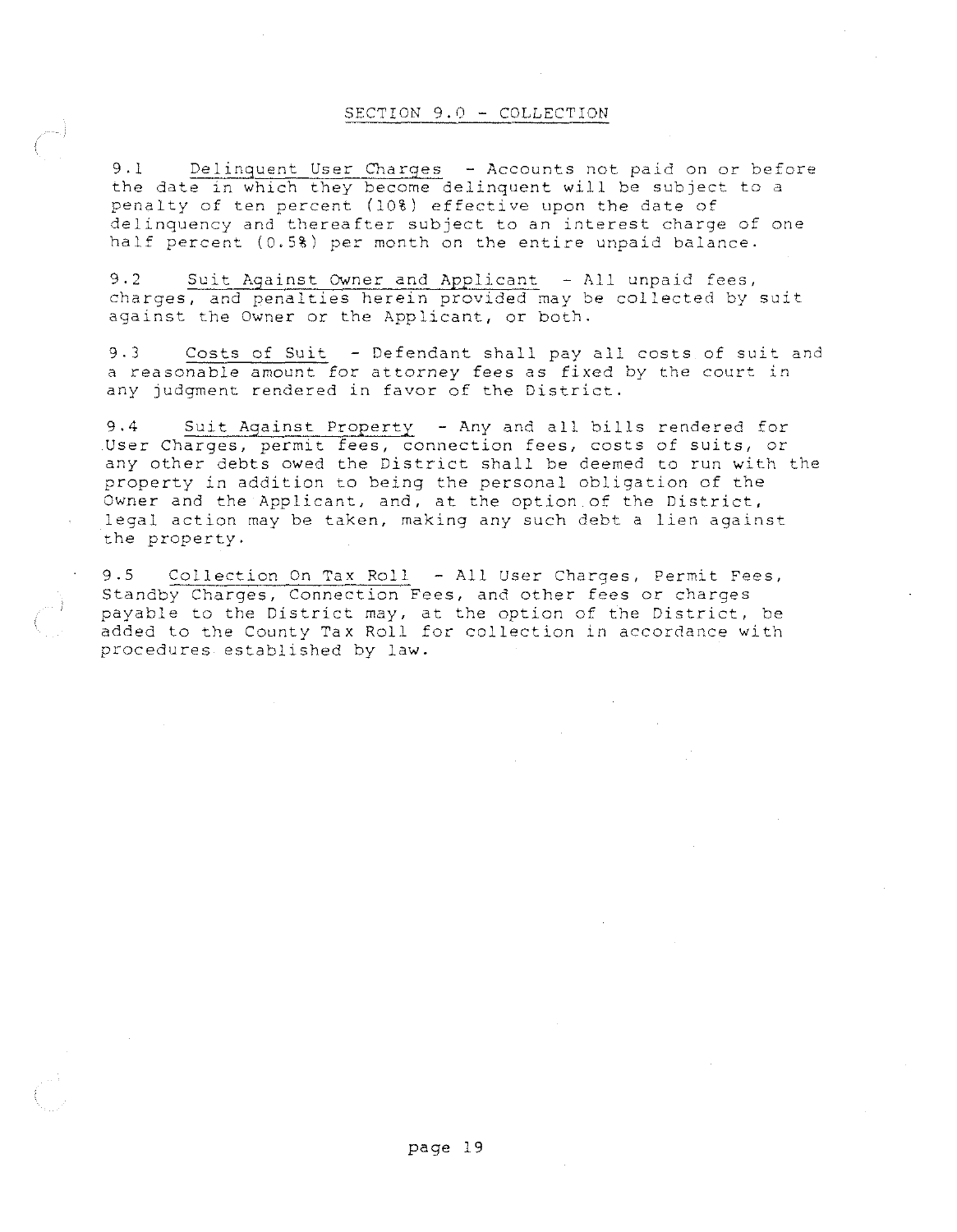#### SECTION 9.0 - COLLECTION

9.1 Delinquent User Charges - Accounts not paid on *or* before the date in which they become delinquent will be subject to a penalty of ten percent (10%) effective upon the date of delinquency and thereafter subject to an interest charge of one half percent (0.5%) per month on the entire unpaid balance.

9.2 Suit Against Owner and Applicant - All unpaid fees, charges, and penalties herein provided may be collected by suit against the Owner *or* the Applicant, or both.

9.3 Costs of Suit - Defendant shall pay all costs of suit and a reasonable amount for attorney fees as fixed by the **court in**  any judgment rendered in favor of the District.

9,4 Suit Against Property - Any and all bills rendered for **User Charges, permit fees, connection fees, costs of suits,** *or*  any other debts owed the District shall be deemed to run with the property in addition to being the personal obligation of the Owner and the Applicant, and, at the option of the District, legal action may be taken, making any such debt a lien against the property.

9.5 Collection On Tax Roll - All User Charges, Permit Fees, Standby Charges, Connection Fees, and other fees *or* charges payable to the District may, at the option of the District, be added to the County Tax Roll for collection in accordance with procedures established by law.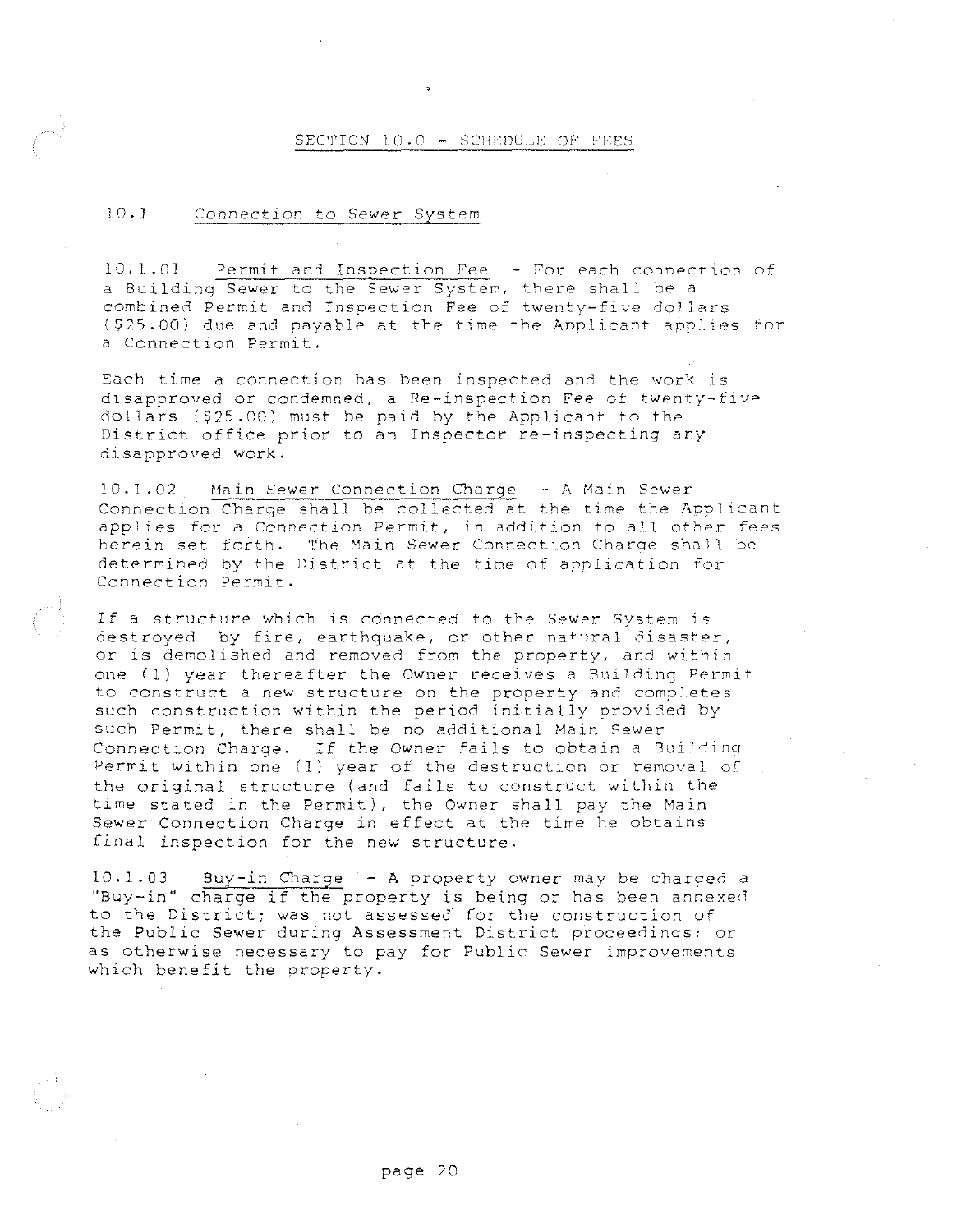#### SECTION 10.0 - SCHEDULE OF FEES

### 10.1 Connection to Sewer System

10.1.01 Permit and Inspection Fee - For each connection of a Building Sewer to the Sewer System, there shall be a combined Permit and Inspection Fee of twenty-five dollars (\$25.00) due and payable at the time the Applicant applies for a Connection Permit.

Each time a connection has been inspected and the work is disapproved or condemned, a Re-inspection Fee of twenty-five dollars (\$25.00) must be paid by the Applicant to the District office prior to an Inspector re-inspecting any disapproved work.

10.1.02 Main Sewer Connection Charge - A Main Sewer Connection Charge shall be collected at the time the Aoplicant applies for a Connection Permit, in addition to all other fees herein set forth. The Main Sewer Connection Charge shall be determined by the District at the time of application for Connection Permit.

If a structure which is connected to the Sewer System is destroyed by fire, earthquake, or other natural disaster, or is demolished and removed from the property, and within one (1) year thereafter the Owner receives a Building Permit to construct a new structure on the property and compJetes such construction within the period initially orovided by such Permit, there shall be no additional Main Sewer Connection Charge. If the Owner fails to obtain a Building Permit within one (1) year of the destruction or removal of the original structure (and fails to construct within the time stated in the Permit), the Owner shall pay the Main Sewer Connection Charge in effect at the time he obtains final inspection for the new structure.

10.1.03 Buy-in Charge - A property owner may be charged a "Buy-in" charge if the property is being or has been annexed to the District; was not assessed for the construction of the Public Sewer during Assessment District proceedinas; or as otherwise necessary to pay for Public Sewer improvements which benefit the property.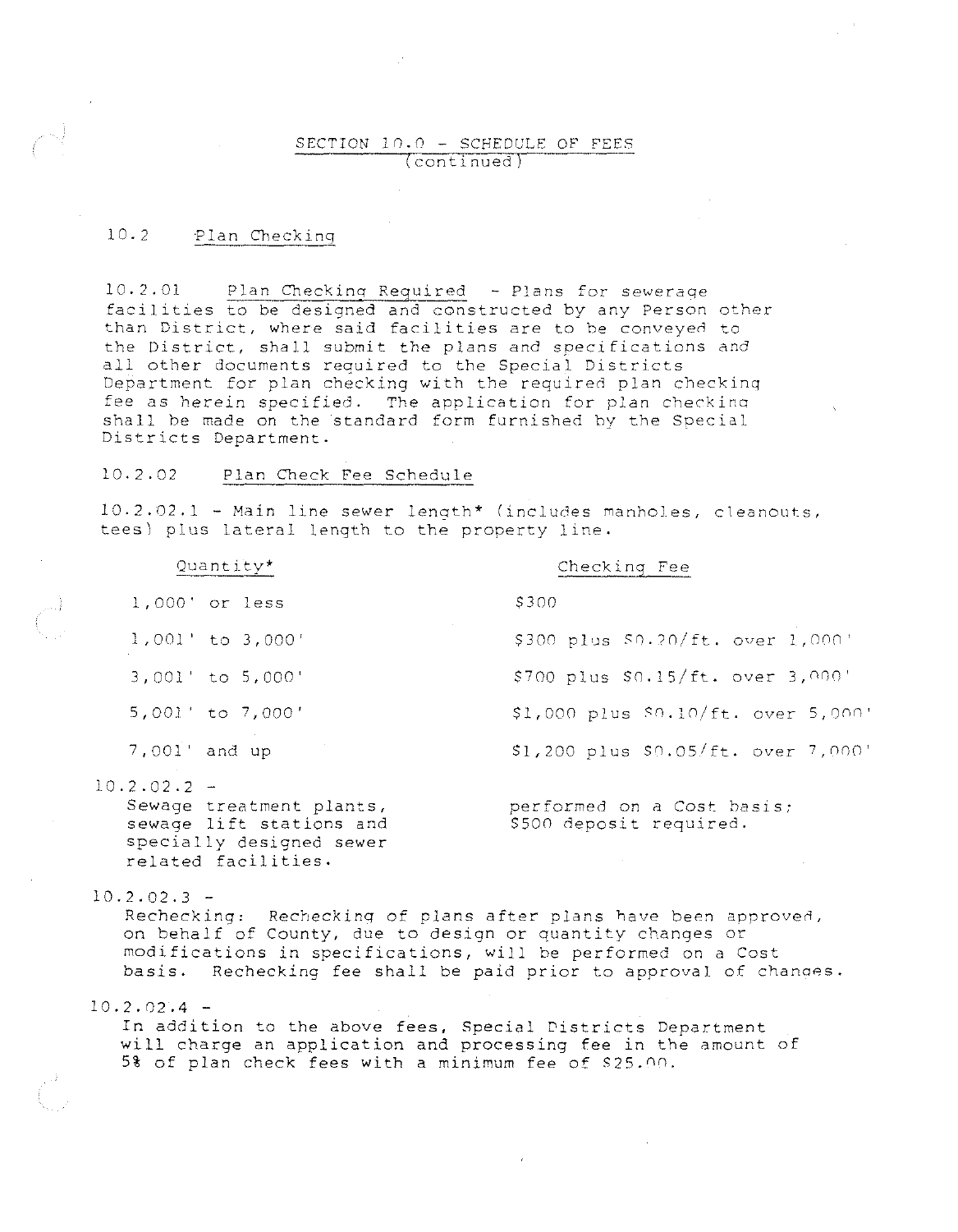### SECTION 10.0 - SCHEDULE OF FEES **continued**

### 10.2 Plan Checking

10.2.01 Plan Checking Required - Plans for sewerage facilities to be designed and constructed by any Person other than District, where said facilities are to be conveyed to the District, shall submit the plans and specifications and all other documents required to the Special Districts Department for plan checking with the required plan checking **fee as herein specifieO. The application for plan checkino**  shall be made on the standard form furnished by the Special Districts Department.

### 10.2.02 Plan Check Fee Schedule

10.2.02.1 - Main line sewer length\* (includes manholes, cleanouts, tees) plus lateral length to the property line.

|               | Quantity*                                            | Checking Fee                                          |
|---------------|------------------------------------------------------|-------------------------------------------------------|
|               | 1,000' or less                                       | \$300                                                 |
|               | $1,001'$ to $3,000'$                                 | \$300 plus \$0.20/ft. over 1,000'                     |
|               | 3,001' to 5,000'                                     | \$700 plus \$0.15/ft. over 3,000'                     |
|               | 5,001' to 7,000'                                     | \$1,000 plus $$0.10/ft. over 5,000'$                  |
| 7.001' and up |                                                      | \$1,200 plus \$0.05/ft. over 7,000'                   |
| 10.2.02.2 -   | Sewage treatment plants,<br>sewage lift stations and | performed on a Cost basis;<br>\$500 deposit required. |

specially designed sewer related facilities.

 $10.2.02.3 -$ 

Rechecking: Rechecking of plans after plans have been approved, on behalf of County, due to design or quantity changes or modifications in specifications, will be performed on a Cost basis. Rechecking fee shall be paid prior to approval of chances.

 $10.2.02.4 -$ 

In addition to the above fees, Special Districts Department will charge an application and processing fee in the amount of 5% of plan check fees with a minimum fee of \$25.00.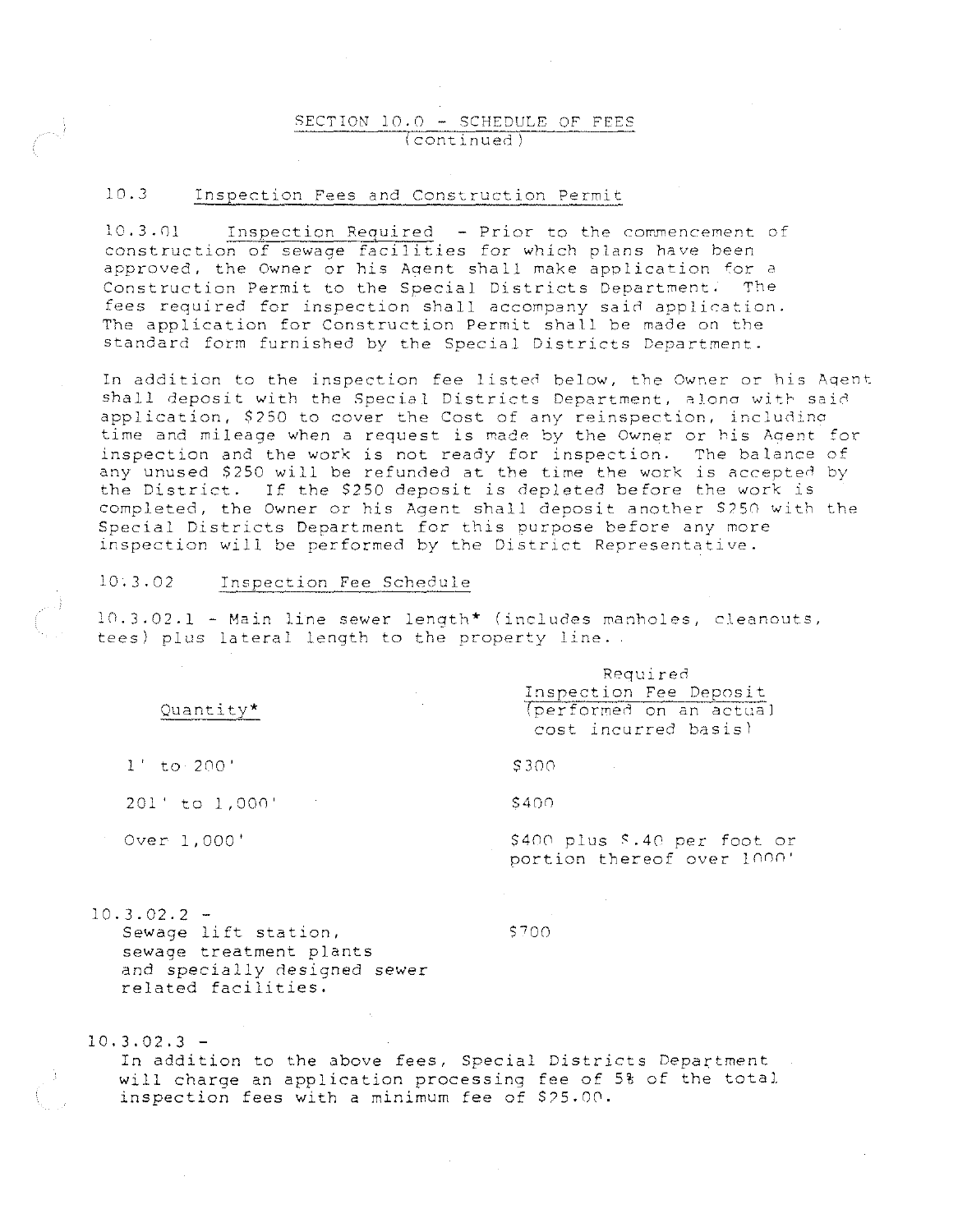### SECTION 10.0 - SCHEDULE OF FEES continued)

### 10.J Inspection Fees and Construction Permit

10.3.01 Inspection Required - Prior to the commencement of construction of sewage facilities for which plans have been approved, the Owner or his Aoent shall make application for a Construction Permit to the Special Districts Department. The fees required for inspection shall accompany said application. The application for Construction Permit shall be made on the standard form furnished by the Special Districts Department.

In addition to the inspection fee listed below, the Owner or his Aqent shall deposit with the Special Districts Department, alono with said application, \$250 to cover the Cost of any reinspection, including time and mileage when a request is made by the Owner or his Agent for inspection and the work is not ready for inspection. The balance of any unused \$250 will be refunded at the time the work is accepted by the District. If the \$250 deposit is depleted before the work is completed, the Owner or his Agent shall deposit another S75n with the Special Districts Department for this purpose before any more inspection will be performed by the District Representative.

### 10.J.02 Inspection Fee Schedule

10.3,02.1 - Main line sewer length\* (includes manholes, cleanouts, tees) plus lateral length to the property line.

|                                                                                 | Required<br>Inspection Fee Deposit<br>the control of the control of the con-   |  |  |  |
|---------------------------------------------------------------------------------|--------------------------------------------------------------------------------|--|--|--|
| Quantity*                                                                       | and the control of the con-<br>(performed on an actual<br>cost incurred basis) |  |  |  |
| $1'$ to $200'$                                                                  | \$300<br>and the state of the                                                  |  |  |  |
| $201'$ to $1,000'$<br>$\mathcal{L}_{\text{max}}$ and $\mathcal{L}_{\text{max}}$ | \$400                                                                          |  |  |  |
| Over 1,000'                                                                     | \$400 plus \$.40 per foot or<br>portion thereof over 1000'                     |  |  |  |

 $10.3.02.2 -$ Sewage lift station, sewage treatment plants and specially designed sewer related facilities.

\$700

 $10.3.02.3 -$ 

In addition to the above fees, Special Districts Department will charge an application processing fee of 5% of the total inspection fees with a minimum fee of S?5.00.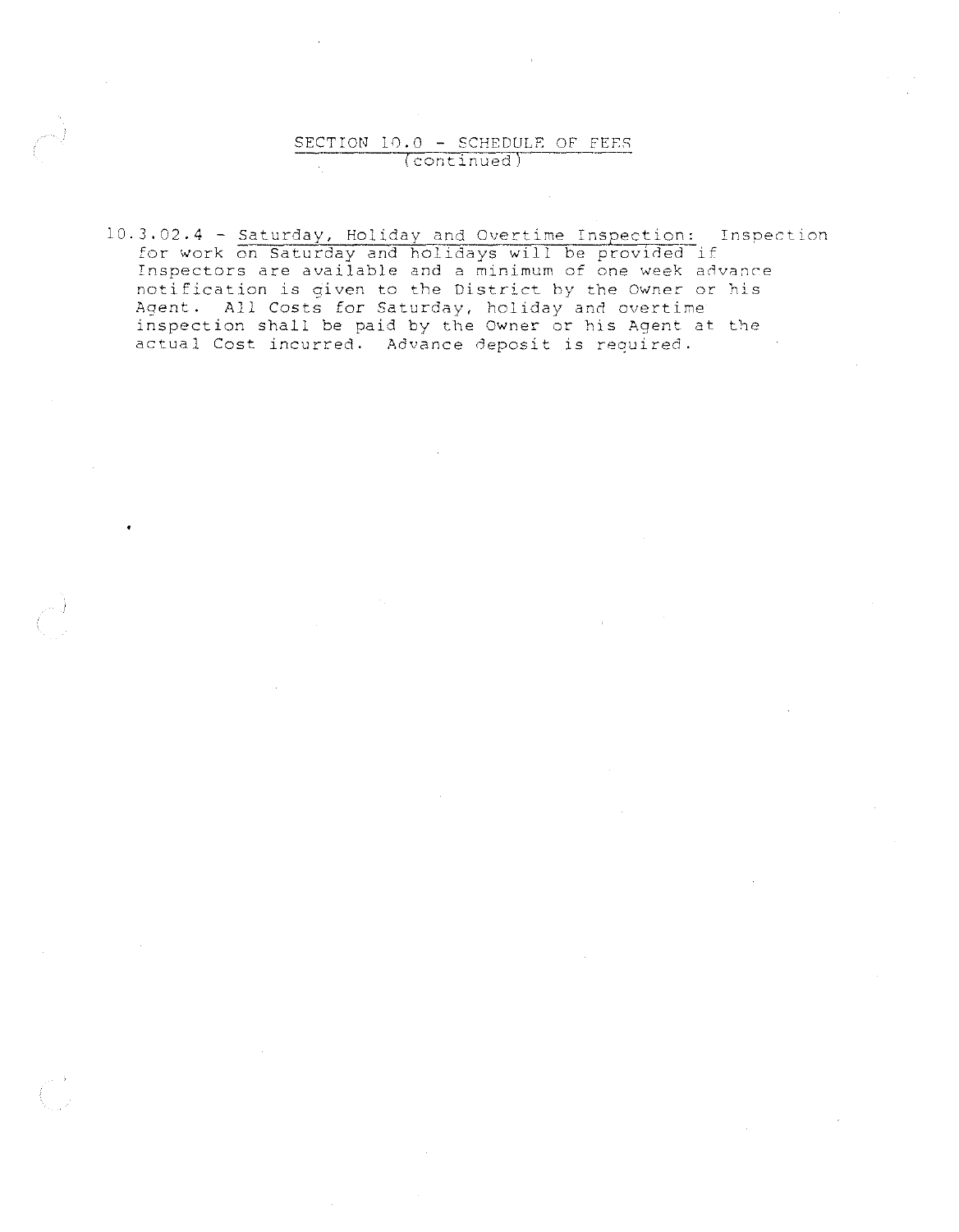### SECTION 10.0 - SCHEDULE OF FEES (continued)

10.3.02.4 - Saturday, Holiday and Overtime Inspection: Inspection for work on Saturday and holidays will be provided if Inspectors are available and a minimum of one week advance notification is given to the District by the Owner or his Agent. All Costs for Saturday, holiday and overtime inspection shall be paid by the Owner or his Agent at the actual Cost incurred. Advance deposit is required.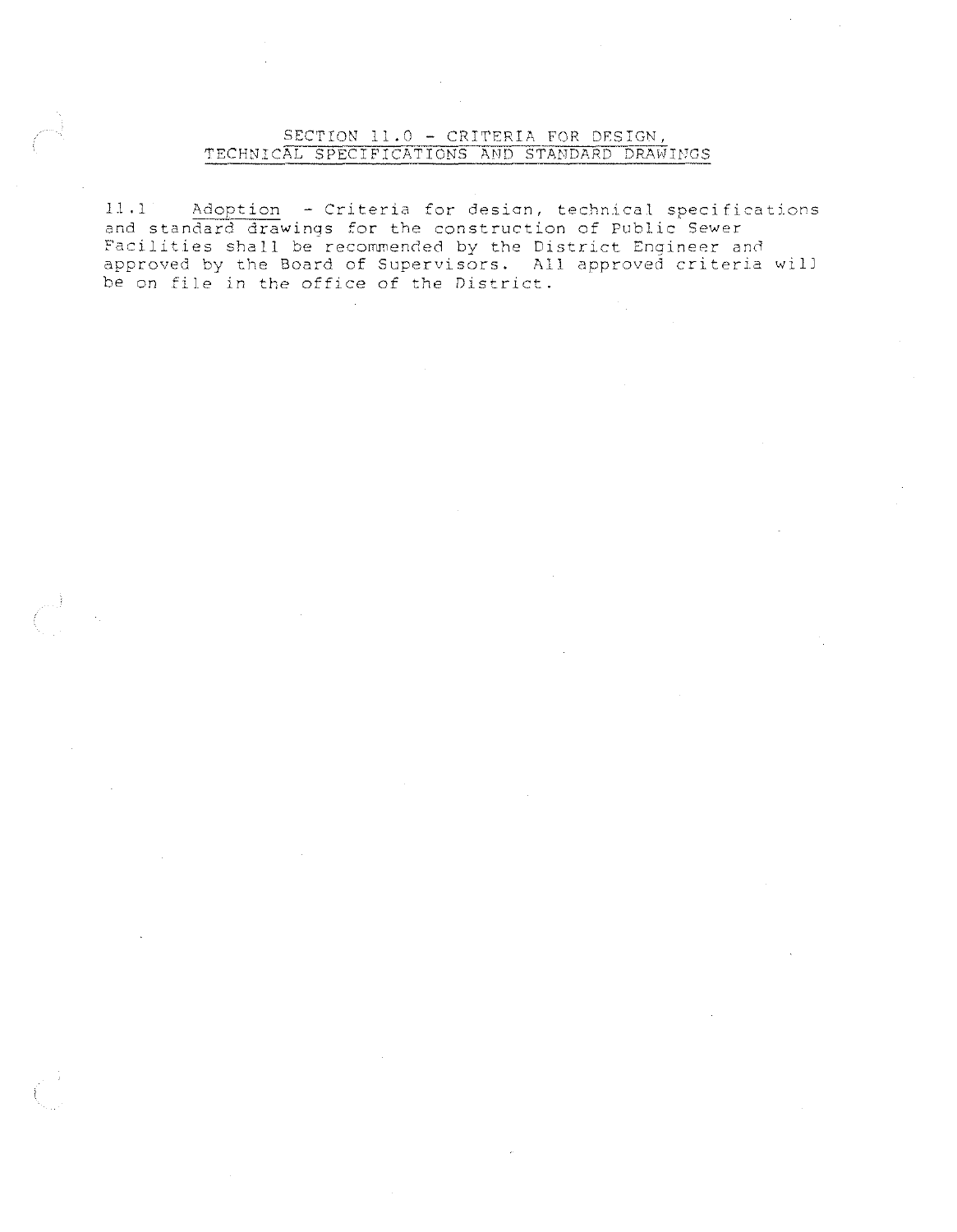### SECTION 11.0 - CRITERIA FOR DESIGN, TECHNICAL SPECIFICATIONS AND STANDARD DRAWINGS

11.1 Adoption - Criteria for desian, technical specifications and standard drawings for the construction of Public Sewer Facilities shall be recommended by the District Engineer and approved by the Board of Supervisors. All approved criteria will be on file in the office of *the* District.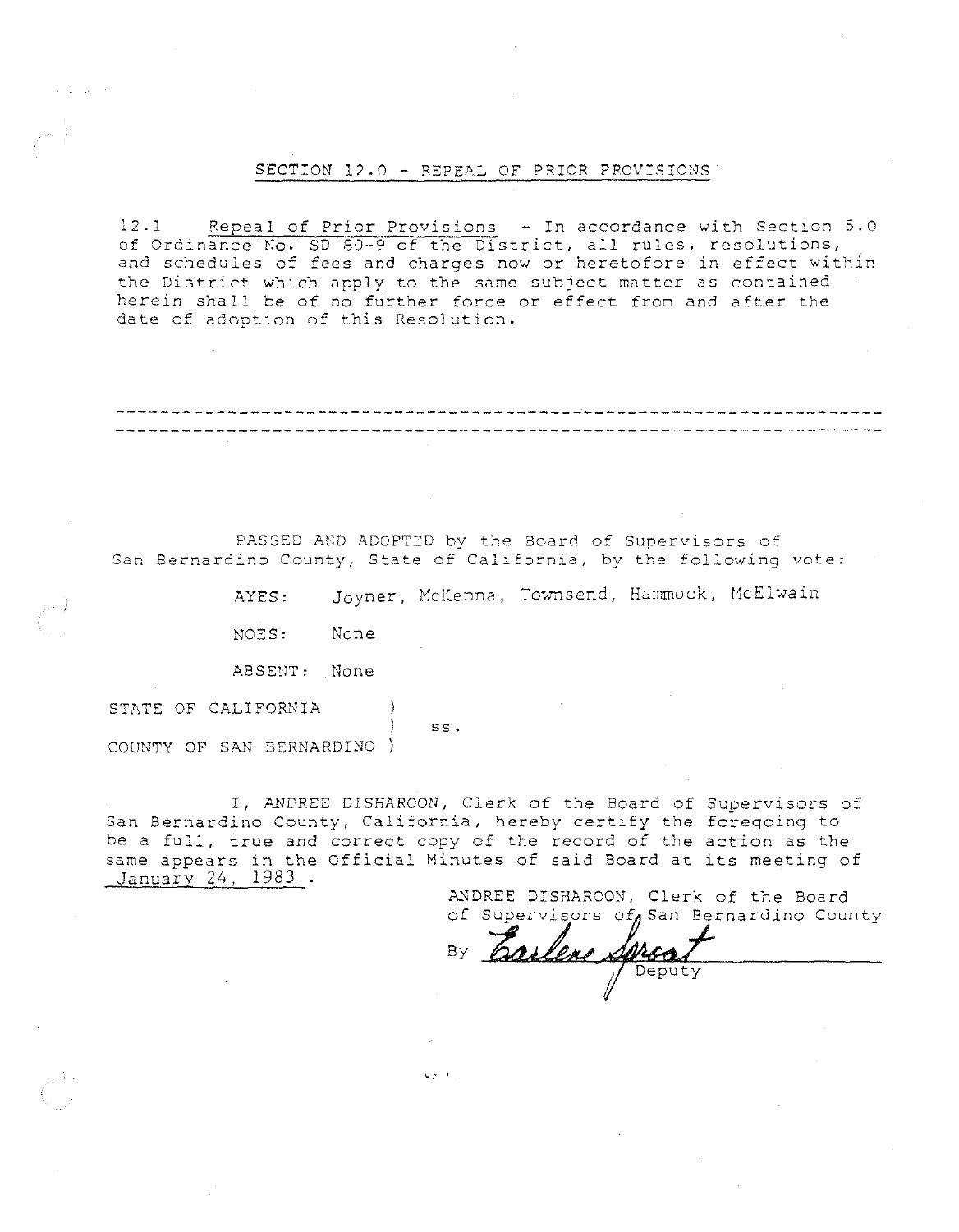#### SECTION l?.n - REPEAL OF PRIOR PROVISIONS

 $12.1$  Repeal of Prior Provisions  $-$  In accordance with Section 5.0 of Ordinance No. SD 80-9 of the District, all rules, resolutions, and schedules of fees and charges now or heretofore in effect within **the District which apply to the same subject matter as contained**  herein shall be of no further force or effect from and after the date of adoption of this Resolution.

PASSED AND ADOPTED by the Board of Supervisors of San Bernardino County, State of California, by the following vote:

AYES: Joyner, McKenna, Townsend, Hammock, McElwain

NOES: None

**ABSEtJT: None** 

STATE OF CALIFORNIA ss. COUNTY OF SAN BERNARDINO)

I, ANDREE DISHAROON, Clerk of the Board of Supervisors of San Bernardino County, California, hereby certify the foregoing to be a full, true and correct copy of the record of the action as the same appears in the Official Minutes of said Board at its meeting of<br>
January 24, 1983.

ANDREE DISHAROON, Clerk of the Board

of Supervisors of San Bernardino County<br>By **Carlene Altsa** Deputy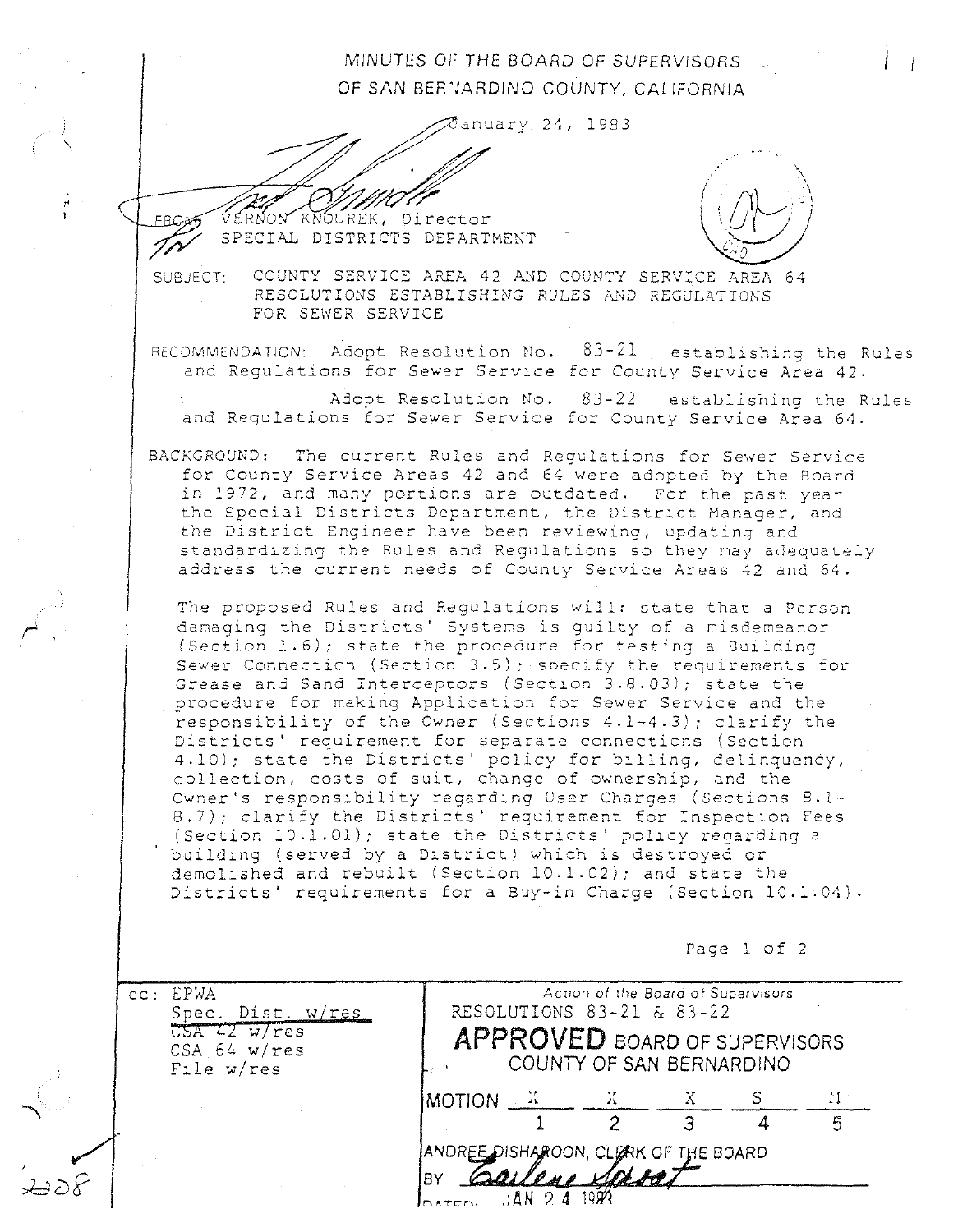# MINUTES OF THE BOARD OF SUPERVISORS OF SAN BERNARDINO COUNTY, CALIFORNIA

anuary 24, 1983

\

FPOY

.<br>|<br>|<br>|



SUBJECT: VÉRNON KNOURÉK, DIPECTOR<br>SPECIAL DISTRICTS DEPARTMENT<br>COUNTY SERVICE AREA 42 AND COUNTY SERVICE AREA 64: RESOLUTIONS ESTABLISHING RULES AND REGULATIONS FOR SEWER SERVICE

RECOMMENDATION: Adopt Resolution No. and Regulations for Sewer Service for County Service Area 42. 83-21 establishing the Rules

Adopt Resolution No. 83-22 and Regulations for Sewer Service for County Service Area 64. establishing the Rules

BACKGROUND: The current Rules and Regulations for Sewer Service for County Service Areas 42 and 64 were adopted by the Board in 1972, and many portions are outdated. For the past year the Special Districts Department, the District Manager, and the District Engineer have been reviewing, updating and standardizing the Rules and Regulations so they may adequately address the current needs of County Service Areas 42 and 64.

The proposed Rules and Regulations will: state that a Person damaging the Districts' Systems is quilty of a misdemeanor (Section  $1.6$ ); state the procedure for testing a Building Sewer Connection (Section 3.5); specify the requirements for Grease and Sand Interceptors (Section J.8.0J); state the procedure for making Application for Sewer Service and the responsibility of the Owner (Sections  $4.1-4.3$ ); clarify the Districts' requirement for separate connections (Section 4.10); state the Districts' policy for billing, delinquency, collection, costs of suit, change of ownership, and the Owner's responsibility regarding User Charges (Sections 8.1- 8.7); clarify the Districts' requirement for Inspection Fees (Section 10.1.01); state the Districts' policy regarding <sup>a</sup> building (served by a District) which is destroyed or demolished and rebuilt (Section 10.1.02); and state the Districts' requirements for a Buy-in Charge (Section 10.1.04).

Page l of 2

| cc: EPWA<br>Spec. Dist. w/res<br>$\overline{\text{CSA 42 w/res}}$<br>CSA $64 w(res$<br>File w/res | Action of the Board of Supervisors<br>RESOLUTIONS 83-21 & 83-22<br><b>APPROVED BOARD OF SUPERVISORS</b><br>COUNTY OF SAN BERNARDINO |                                      |  |  |  |
|---------------------------------------------------------------------------------------------------|-------------------------------------------------------------------------------------------------------------------------------------|--------------------------------------|--|--|--|
|                                                                                                   | $MOTION = 3$                                                                                                                        |                                      |  |  |  |
|                                                                                                   |                                                                                                                                     |                                      |  |  |  |
|                                                                                                   | BY<br>DATED.                                                                                                                        | ANDREE DISHAROON, CLERK OF THE BOARD |  |  |  |